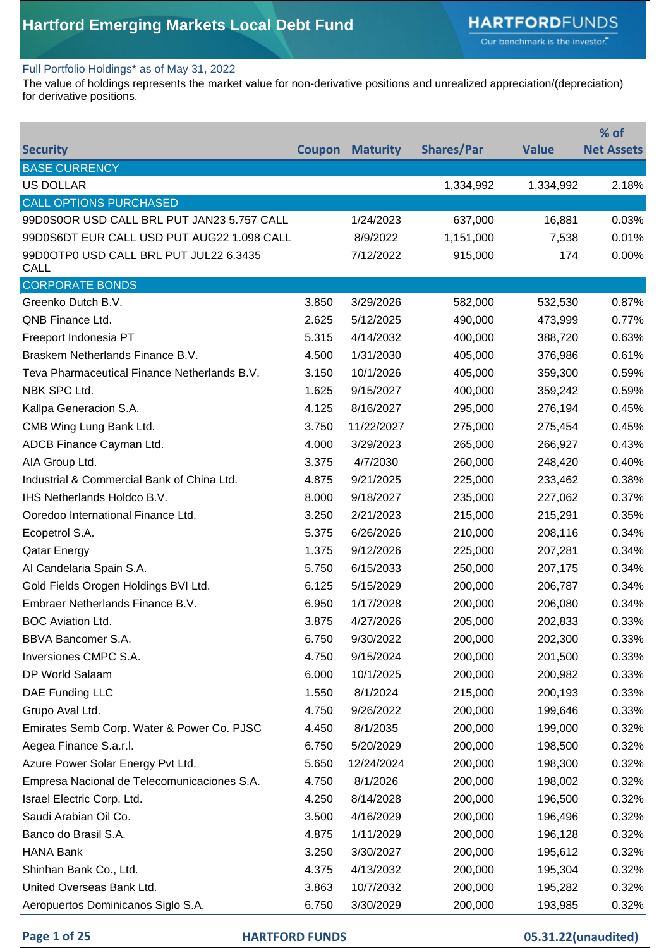Our benchmark is the investor."

#### Full Portfolio Holdings\* as of May 31, 2022

The value of holdings represents the market value for non-derivative positions and unrealized appreciation/(depreciation) for derivative positions.

|                                                       |       |                        |                   |              | % of              |
|-------------------------------------------------------|-------|------------------------|-------------------|--------------|-------------------|
| <b>Security</b>                                       |       | <b>Coupon Maturity</b> | <b>Shares/Par</b> | <b>Value</b> | <b>Net Assets</b> |
| <b>BASE CURRENCY</b>                                  |       |                        |                   |              |                   |
| <b>US DOLLAR</b>                                      |       |                        | 1,334,992         | 1,334,992    | 2.18%             |
| <b>CALL OPTIONS PURCHASED</b>                         |       |                        |                   |              |                   |
| 99D0S0OR USD CALL BRL PUT JAN23 5.757 CALL            |       | 1/24/2023              | 637,000           | 16,881       | 0.03%             |
| 99D0S6DT EUR CALL USD PUT AUG22 1.098 CALL            |       | 8/9/2022               | 1,151,000         | 7,538        | 0.01%             |
| 99D0OTP0 USD CALL BRL PUT JUL22 6.3435<br><b>CALL</b> |       | 7/12/2022              | 915,000           | 174          | 0.00%             |
| <b>CORPORATE BONDS</b>                                |       |                        |                   |              |                   |
| Greenko Dutch B.V.                                    | 3.850 | 3/29/2026              | 582,000           | 532,530      | 0.87%             |
| QNB Finance Ltd.                                      | 2.625 | 5/12/2025              | 490,000           | 473,999      | 0.77%             |
| Freeport Indonesia PT                                 | 5.315 | 4/14/2032              | 400,000           | 388,720      | 0.63%             |
| Braskem Netherlands Finance B.V.                      | 4.500 | 1/31/2030              | 405,000           | 376,986      | 0.61%             |
| Teva Pharmaceutical Finance Netherlands B.V.          | 3.150 | 10/1/2026              | 405,000           | 359,300      | 0.59%             |
| NBK SPC Ltd.                                          | 1.625 | 9/15/2027              | 400,000           | 359,242      | 0.59%             |
| Kallpa Generacion S.A.                                | 4.125 | 8/16/2027              | 295,000           | 276,194      | 0.45%             |
| CMB Wing Lung Bank Ltd.                               | 3.750 | 11/22/2027             | 275,000           | 275,454      | 0.45%             |
| ADCB Finance Cayman Ltd.                              | 4.000 | 3/29/2023              | 265,000           | 266,927      | 0.43%             |
| AIA Group Ltd.                                        | 3.375 | 4/7/2030               | 260,000           | 248,420      | 0.40%             |
| Industrial & Commercial Bank of China Ltd.            | 4.875 | 9/21/2025              | 225,000           | 233,462      | 0.38%             |
| <b>IHS Netherlands Holdco B.V.</b>                    | 8.000 | 9/18/2027              | 235,000           | 227,062      | 0.37%             |
| Ooredoo International Finance Ltd.                    | 3.250 | 2/21/2023              | 215,000           | 215,291      | 0.35%             |
| Ecopetrol S.A.                                        | 5.375 | 6/26/2026              | 210,000           | 208,116      | 0.34%             |
| <b>Qatar Energy</b>                                   | 1.375 | 9/12/2026              | 225,000           | 207,281      | 0.34%             |
| Al Candelaria Spain S.A.                              | 5.750 | 6/15/2033              | 250,000           | 207,175      | 0.34%             |
| Gold Fields Orogen Holdings BVI Ltd.                  | 6.125 | 5/15/2029              | 200,000           | 206,787      | 0.34%             |
| Embraer Netherlands Finance B.V.                      | 6.950 | 1/17/2028              | 200,000           | 206,080      | 0.34%             |
| <b>BOC Aviation Ltd.</b>                              | 3.875 | 4/27/2026              | 205,000           | 202,833      | 0.33%             |
| BBVA Bancomer S.A.                                    | 6.750 | 9/30/2022              | 200,000           | 202,300      | 0.33%             |
| Inversiones CMPC S.A.                                 | 4.750 | 9/15/2024              | 200,000           | 201,500      | 0.33%             |
| DP World Salaam                                       | 6.000 | 10/1/2025              | 200,000           | 200,982      | 0.33%             |
| DAE Funding LLC                                       | 1.550 | 8/1/2024               | 215,000           | 200,193      | 0.33%             |
| Grupo Aval Ltd.                                       | 4.750 | 9/26/2022              | 200,000           | 199,646      | 0.33%             |
| Emirates Semb Corp. Water & Power Co. PJSC            | 4.450 | 8/1/2035               | 200,000           | 199,000      | 0.32%             |
| Aegea Finance S.a.r.l.                                | 6.750 | 5/20/2029              | 200,000           | 198,500      | 0.32%             |
| Azure Power Solar Energy Pvt Ltd.                     | 5.650 | 12/24/2024             | 200,000           | 198,300      | 0.32%             |
| Empresa Nacional de Telecomunicaciones S.A.           | 4.750 | 8/1/2026               | 200,000           | 198,002      | 0.32%             |
| Israel Electric Corp. Ltd.                            | 4.250 | 8/14/2028              | 200,000           | 196,500      | 0.32%             |
| Saudi Arabian Oil Co.                                 | 3.500 | 4/16/2029              | 200,000           | 196,496      | 0.32%             |
| Banco do Brasil S.A.                                  | 4.875 | 1/11/2029              | 200,000           | 196,128      | 0.32%             |
| <b>HANA Bank</b>                                      | 3.250 | 3/30/2027              | 200,000           | 195,612      | 0.32%             |
| Shinhan Bank Co., Ltd.                                | 4.375 | 4/13/2032              | 200,000           | 195,304      | 0.32%             |
| United Overseas Bank Ltd.                             | 3.863 | 10/7/2032              | 200,000           | 195,282      | 0.32%             |
| Aeropuertos Dominicanos Siglo S.A.                    | 6.750 | 3/30/2029              | 200,000           | 193,985      | 0.32%             |

#### **Page 1 of 25 HARTFORD FUNDS 05.31.22(unaudited)**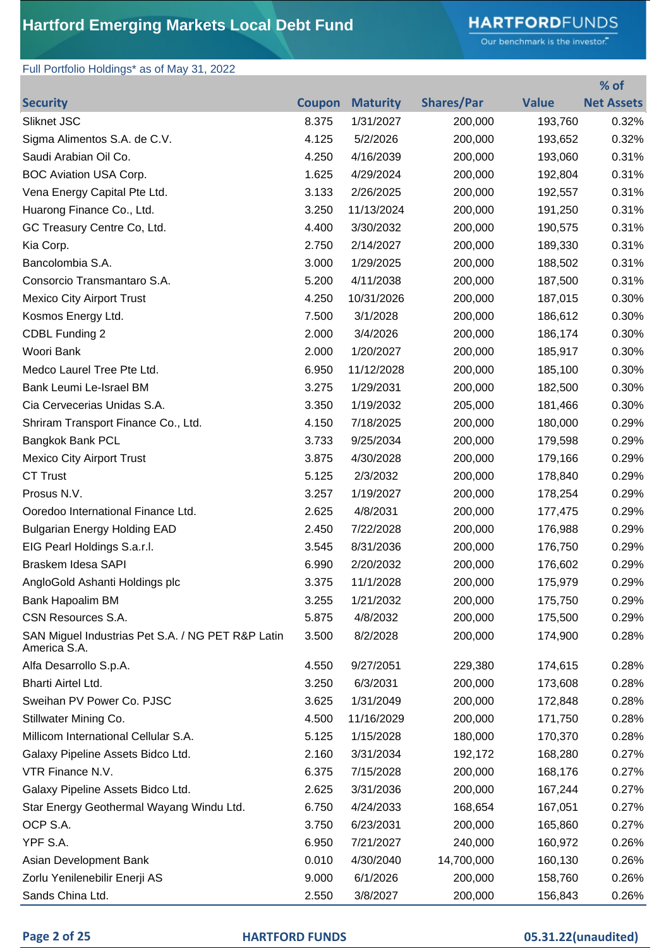# **HARTFORD**FUNDS

Our benchmark is the investor."

**% of** 

### Full Portfolio Holdings\* as of May 31, 2022

| <b>Security</b>                                                   | <b>Coupon</b> | <b>Maturity</b> | <b>Shares/Par</b> | <b>Value</b> | <b>Net Assets</b> |
|-------------------------------------------------------------------|---------------|-----------------|-------------------|--------------|-------------------|
| Sliknet JSC                                                       | 8.375         | 1/31/2027       | 200,000           | 193,760      | 0.32%             |
| Sigma Alimentos S.A. de C.V.                                      | 4.125         | 5/2/2026        | 200,000           | 193,652      | 0.32%             |
| Saudi Arabian Oil Co.                                             | 4.250         | 4/16/2039       | 200,000           | 193,060      | 0.31%             |
| <b>BOC Aviation USA Corp.</b>                                     | 1.625         | 4/29/2024       | 200,000           | 192,804      | 0.31%             |
| Vena Energy Capital Pte Ltd.                                      | 3.133         | 2/26/2025       | 200,000           | 192,557      | 0.31%             |
| Huarong Finance Co., Ltd.                                         | 3.250         | 11/13/2024      | 200,000           | 191,250      | 0.31%             |
| GC Treasury Centre Co, Ltd.                                       | 4.400         | 3/30/2032       | 200,000           | 190,575      | 0.31%             |
| Kia Corp.                                                         | 2.750         | 2/14/2027       | 200,000           | 189,330      | 0.31%             |
| Bancolombia S.A.                                                  | 3.000         | 1/29/2025       | 200,000           | 188,502      | 0.31%             |
| Consorcio Transmantaro S.A.                                       | 5.200         | 4/11/2038       | 200,000           | 187,500      | 0.31%             |
| <b>Mexico City Airport Trust</b>                                  | 4.250         | 10/31/2026      | 200,000           | 187,015      | 0.30%             |
| Kosmos Energy Ltd.                                                | 7.500         | 3/1/2028        | 200,000           | 186,612      | 0.30%             |
| CDBL Funding 2                                                    | 2.000         | 3/4/2026        | 200,000           | 186,174      | 0.30%             |
| Woori Bank                                                        | 2.000         | 1/20/2027       | 200,000           | 185,917      | 0.30%             |
| Medco Laurel Tree Pte Ltd.                                        | 6.950         | 11/12/2028      | 200,000           | 185,100      | 0.30%             |
| Bank Leumi Le-Israel BM                                           | 3.275         | 1/29/2031       | 200,000           | 182,500      | 0.30%             |
| Cia Cervecerias Unidas S.A.                                       | 3.350         | 1/19/2032       | 205,000           | 181,466      | 0.30%             |
| Shriram Transport Finance Co., Ltd.                               | 4.150         | 7/18/2025       | 200,000           | 180,000      | 0.29%             |
| Bangkok Bank PCL                                                  | 3.733         | 9/25/2034       | 200,000           | 179,598      | 0.29%             |
| <b>Mexico City Airport Trust</b>                                  | 3.875         | 4/30/2028       | 200,000           | 179,166      | 0.29%             |
| <b>CT Trust</b>                                                   | 5.125         | 2/3/2032        | 200,000           | 178,840      | 0.29%             |
| Prosus N.V.                                                       | 3.257         | 1/19/2027       | 200,000           | 178,254      | 0.29%             |
| Ooredoo International Finance Ltd.                                | 2.625         | 4/8/2031        | 200,000           | 177,475      | 0.29%             |
| <b>Bulgarian Energy Holding EAD</b>                               | 2.450         | 7/22/2028       | 200,000           | 176,988      | 0.29%             |
| EIG Pearl Holdings S.a.r.l.                                       | 3.545         | 8/31/2036       | 200,000           | 176,750      | 0.29%             |
| Braskem Idesa SAPI                                                | 6.990         | 2/20/2032       | 200,000           | 176,602      | 0.29%             |
| AngloGold Ashanti Holdings plc                                    | 3.375         | 11/1/2028       | 200,000           | 175,979      | 0.29%             |
| Bank Hapoalim BM                                                  | 3.255         | 1/21/2032       | 200,000           | 175,750      | 0.29%             |
| CSN Resources S.A.                                                | 5.875         | 4/8/2032        | 200,000           | 175,500      | 0.29%             |
| SAN Miguel Industrias Pet S.A. / NG PET R&P Latin<br>America S.A. | 3.500         | 8/2/2028        | 200,000           | 174,900      | 0.28%             |
| Alfa Desarrollo S.p.A.                                            | 4.550         | 9/27/2051       | 229,380           | 174,615      | 0.28%             |
| Bharti Airtel Ltd.                                                | 3.250         | 6/3/2031        | 200,000           | 173,608      | 0.28%             |
| Sweihan PV Power Co. PJSC                                         | 3.625         | 1/31/2049       | 200,000           | 172,848      | 0.28%             |
| Stillwater Mining Co.                                             | 4.500         | 11/16/2029      | 200,000           | 171,750      | 0.28%             |
| Millicom International Cellular S.A.                              | 5.125         | 1/15/2028       | 180,000           | 170,370      | 0.28%             |
| Galaxy Pipeline Assets Bidco Ltd.                                 | 2.160         | 3/31/2034       | 192,172           | 168,280      | 0.27%             |
| VTR Finance N.V.                                                  | 6.375         | 7/15/2028       | 200,000           | 168,176      | 0.27%             |
| Galaxy Pipeline Assets Bidco Ltd.                                 | 2.625         | 3/31/2036       | 200,000           | 167,244      | 0.27%             |
| Star Energy Geothermal Wayang Windu Ltd.                          | 6.750         | 4/24/2033       | 168,654           | 167,051      | 0.27%             |
| OCP S.A.                                                          | 3.750         | 6/23/2031       | 200,000           | 165,860      | 0.27%             |
| YPF S.A.                                                          | 6.950         | 7/21/2027       | 240,000           | 160,972      | 0.26%             |
| Asian Development Bank                                            | 0.010         | 4/30/2040       | 14,700,000        | 160,130      | 0.26%             |
| Zorlu Yenilenebilir Enerji AS                                     | 9.000         | 6/1/2026        | 200,000           | 158,760      | 0.26%             |
| Sands China Ltd.                                                  | 2.550         | 3/8/2027        | 200,000           | 156,843      | 0.26%             |

### **Page 2 of 25 HARTFORD FUNDS 05.31.22(unaudited)**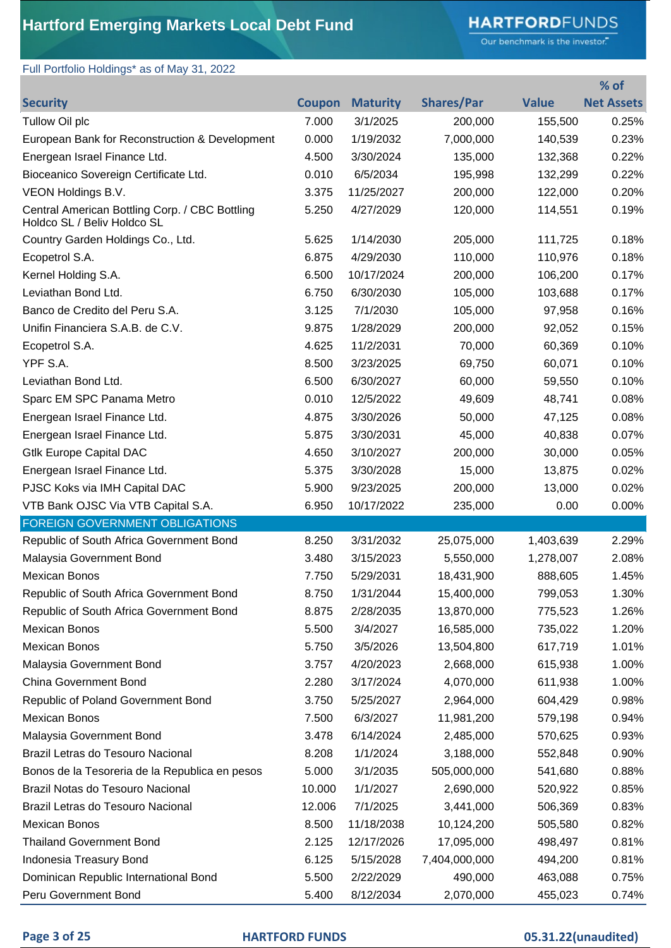# **HARTFORD**FUNDS

Our benchmark is the investor."

**% of** 

### Full Portfolio Holdings\* as of May 31, 2022

| <b>Security</b>                                                               | <b>Coupon</b> | <b>Maturity</b> | <b>Shares/Par</b> | <b>Value</b> | <b>Net Assets</b> |
|-------------------------------------------------------------------------------|---------------|-----------------|-------------------|--------------|-------------------|
| Tullow Oil plc                                                                | 7.000         | 3/1/2025        | 200,000           | 155,500      | 0.25%             |
| European Bank for Reconstruction & Development                                | 0.000         | 1/19/2032       | 7,000,000         | 140,539      | 0.23%             |
| Energean Israel Finance Ltd.                                                  | 4.500         | 3/30/2024       | 135,000           | 132,368      | 0.22%             |
| Bioceanico Sovereign Certificate Ltd.                                         | 0.010         | 6/5/2034        | 195,998           | 132,299      | 0.22%             |
| VEON Holdings B.V.                                                            | 3.375         | 11/25/2027      | 200,000           | 122,000      | 0.20%             |
| Central American Bottling Corp. / CBC Bottling<br>Holdco SL / Beliv Holdco SL | 5.250         | 4/27/2029       | 120,000           | 114,551      | 0.19%             |
| Country Garden Holdings Co., Ltd.                                             | 5.625         | 1/14/2030       | 205,000           | 111,725      | 0.18%             |
| Ecopetrol S.A.                                                                | 6.875         | 4/29/2030       | 110,000           | 110,976      | 0.18%             |
| Kernel Holding S.A.                                                           | 6.500         | 10/17/2024      | 200,000           | 106,200      | 0.17%             |
| Leviathan Bond Ltd.                                                           | 6.750         | 6/30/2030       | 105,000           | 103,688      | 0.17%             |
| Banco de Credito del Peru S.A.                                                | 3.125         | 7/1/2030        | 105,000           | 97,958       | 0.16%             |
| Unifin Financiera S.A.B. de C.V.                                              | 9.875         | 1/28/2029       | 200,000           | 92,052       | 0.15%             |
| Ecopetrol S.A.                                                                | 4.625         | 11/2/2031       | 70,000            | 60,369       | 0.10%             |
| YPF S.A.                                                                      | 8.500         | 3/23/2025       | 69,750            | 60,071       | 0.10%             |
| Leviathan Bond Ltd.                                                           | 6.500         | 6/30/2027       | 60,000            | 59,550       | 0.10%             |
| Sparc EM SPC Panama Metro                                                     | 0.010         | 12/5/2022       | 49,609            | 48,741       | 0.08%             |
| Energean Israel Finance Ltd.                                                  | 4.875         | 3/30/2026       | 50,000            | 47,125       | 0.08%             |
| Energean Israel Finance Ltd.                                                  | 5.875         | 3/30/2031       | 45,000            | 40,838       | 0.07%             |
| <b>Gtlk Europe Capital DAC</b>                                                | 4.650         | 3/10/2027       | 200,000           | 30,000       | 0.05%             |
| Energean Israel Finance Ltd.                                                  | 5.375         | 3/30/2028       | 15,000            | 13,875       | 0.02%             |
| PJSC Koks via IMH Capital DAC                                                 | 5.900         | 9/23/2025       | 200,000           | 13,000       | 0.02%             |
| VTB Bank OJSC Via VTB Capital S.A.                                            | 6.950         | 10/17/2022      | 235,000           | 0.00         | 0.00%             |
| <b>FOREIGN GOVERNMENT OBLIGATIONS</b>                                         |               |                 |                   |              |                   |
| Republic of South Africa Government Bond                                      | 8.250         | 3/31/2032       | 25,075,000        | 1,403,639    | 2.29%             |
| Malaysia Government Bond                                                      | 3.480         | 3/15/2023       | 5,550,000         | 1,278,007    | 2.08%             |
| <b>Mexican Bonos</b>                                                          | 7.750         | 5/29/2031       | 18,431,900        | 888,605      | 1.45%             |
| Republic of South Africa Government Bond                                      | 8.750         | 1/31/2044       | 15,400,000        | 799,053      | 1.30%             |
| Republic of South Africa Government Bond                                      | 8.875         | 2/28/2035       | 13,870,000        | 775,523      | 1.26%             |
| <b>Mexican Bonos</b>                                                          | 5.500         | 3/4/2027        | 16,585,000        | 735,022      | 1.20%             |
| Mexican Bonos                                                                 | 5.750         | 3/5/2026        | 13,504,800        | 617,719      | 1.01%             |
| Malaysia Government Bond                                                      | 3.757         | 4/20/2023       | 2,668,000         | 615,938      | 1.00%             |
| <b>China Government Bond</b>                                                  | 2.280         | 3/17/2024       | 4,070,000         | 611,938      | 1.00%             |
| Republic of Poland Government Bond                                            | 3.750         | 5/25/2027       | 2,964,000         | 604,429      | 0.98%             |
| <b>Mexican Bonos</b>                                                          | 7.500         | 6/3/2027        | 11,981,200        | 579,198      | 0.94%             |
| Malaysia Government Bond                                                      | 3.478         | 6/14/2024       | 2,485,000         | 570,625      | 0.93%             |
| Brazil Letras do Tesouro Nacional                                             | 8.208         | 1/1/2024        | 3,188,000         | 552,848      | 0.90%             |
| Bonos de la Tesoreria de la Republica en pesos                                | 5.000         | 3/1/2035        | 505,000,000       | 541,680      | 0.88%             |
| Brazil Notas do Tesouro Nacional                                              | 10.000        | 1/1/2027        | 2,690,000         | 520,922      | 0.85%             |
| Brazil Letras do Tesouro Nacional                                             | 12.006        | 7/1/2025        | 3,441,000         | 506,369      | 0.83%             |
| <b>Mexican Bonos</b>                                                          | 8.500         | 11/18/2038      | 10,124,200        | 505,580      | 0.82%             |
| <b>Thailand Government Bond</b>                                               | 2.125         | 12/17/2026      | 17,095,000        | 498,497      | 0.81%             |
| Indonesia Treasury Bond                                                       | 6.125         | 5/15/2028       | 7,404,000,000     | 494,200      | 0.81%             |
| Dominican Republic International Bond                                         | 5.500         | 2/22/2029       | 490,000           | 463,088      | 0.75%             |
| Peru Government Bond                                                          | 5.400         | 8/12/2034       | 2,070,000         | 455,023      | 0.74%             |

### **Page 3 of 25 HARTFORD FUNDS 05.31.22(unaudited)**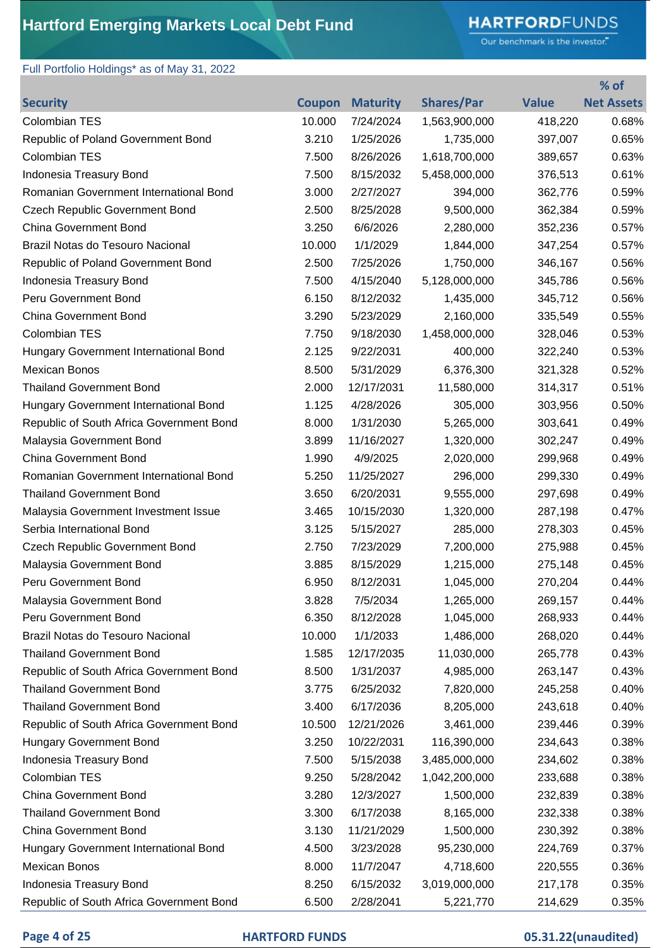# **HARTFORD**FUNDS

Our benchmark is the investor."

**% of** 

### Full Portfolio Holdings\* as of May 31, 2022

| <b>Security</b>                          | <b>Coupon</b> | <b>Maturity</b> | <b>Shares/Par</b> | <b>Value</b> | <b>Net Assets</b> |
|------------------------------------------|---------------|-----------------|-------------------|--------------|-------------------|
| <b>Colombian TES</b>                     | 10.000        | 7/24/2024       | 1,563,900,000     | 418,220      | 0.68%             |
| Republic of Poland Government Bond       | 3.210         | 1/25/2026       | 1,735,000         | 397,007      | 0.65%             |
| <b>Colombian TES</b>                     | 7.500         | 8/26/2026       | 1,618,700,000     | 389,657      | 0.63%             |
| Indonesia Treasury Bond                  | 7.500         | 8/15/2032       | 5,458,000,000     | 376,513      | 0.61%             |
| Romanian Government International Bond   | 3.000         | 2/27/2027       | 394,000           | 362,776      | 0.59%             |
| <b>Czech Republic Government Bond</b>    | 2.500         | 8/25/2028       | 9,500,000         | 362,384      | 0.59%             |
| <b>China Government Bond</b>             | 3.250         | 6/6/2026        | 2,280,000         | 352,236      | 0.57%             |
| Brazil Notas do Tesouro Nacional         | 10.000        | 1/1/2029        | 1,844,000         | 347,254      | 0.57%             |
| Republic of Poland Government Bond       | 2.500         | 7/25/2026       | 1,750,000         | 346,167      | 0.56%             |
| Indonesia Treasury Bond                  | 7.500         | 4/15/2040       | 5,128,000,000     | 345,786      | 0.56%             |
| Peru Government Bond                     | 6.150         | 8/12/2032       | 1,435,000         | 345,712      | 0.56%             |
| <b>China Government Bond</b>             | 3.290         | 5/23/2029       | 2,160,000         | 335,549      | 0.55%             |
| <b>Colombian TES</b>                     | 7.750         | 9/18/2030       | 1,458,000,000     | 328,046      | 0.53%             |
| Hungary Government International Bond    | 2.125         | 9/22/2031       | 400,000           | 322,240      | 0.53%             |
| <b>Mexican Bonos</b>                     | 8.500         | 5/31/2029       | 6,376,300         | 321,328      | 0.52%             |
| <b>Thailand Government Bond</b>          | 2.000         | 12/17/2031      | 11,580,000        | 314,317      | 0.51%             |
| Hungary Government International Bond    | 1.125         | 4/28/2026       | 305,000           | 303,956      | 0.50%             |
| Republic of South Africa Government Bond | 8.000         | 1/31/2030       | 5,265,000         | 303,641      | 0.49%             |
| Malaysia Government Bond                 | 3.899         | 11/16/2027      | 1,320,000         | 302,247      | 0.49%             |
| <b>China Government Bond</b>             | 1.990         | 4/9/2025        | 2,020,000         | 299,968      | 0.49%             |
| Romanian Government International Bond   | 5.250         | 11/25/2027      | 296,000           | 299,330      | 0.49%             |
| <b>Thailand Government Bond</b>          | 3.650         | 6/20/2031       | 9,555,000         | 297,698      | 0.49%             |
| Malaysia Government Investment Issue     | 3.465         | 10/15/2030      | 1,320,000         | 287,198      | 0.47%             |
| Serbia International Bond                | 3.125         | 5/15/2027       | 285,000           | 278,303      | 0.45%             |
| <b>Czech Republic Government Bond</b>    | 2.750         | 7/23/2029       | 7,200,000         | 275,988      | 0.45%             |
| Malaysia Government Bond                 | 3.885         | 8/15/2029       | 1,215,000         | 275,148      | 0.45%             |
| Peru Government Bond                     | 6.950         | 8/12/2031       | 1,045,000         | 270,204      | 0.44%             |
| Malaysia Government Bond                 | 3.828         | 7/5/2034        | 1,265,000         | 269,157      | 0.44%             |
| Peru Government Bond                     | 6.350         | 8/12/2028       | 1,045,000         | 268,933      | 0.44%             |
| Brazil Notas do Tesouro Nacional         | 10.000        | 1/1/2033        | 1,486,000         | 268,020      | 0.44%             |
| <b>Thailand Government Bond</b>          | 1.585         | 12/17/2035      | 11,030,000        | 265,778      | 0.43%             |
| Republic of South Africa Government Bond | 8.500         | 1/31/2037       | 4,985,000         | 263,147      | 0.43%             |
| <b>Thailand Government Bond</b>          | 3.775         | 6/25/2032       | 7,820,000         | 245,258      | 0.40%             |
| <b>Thailand Government Bond</b>          | 3.400         | 6/17/2036       | 8,205,000         | 243,618      | 0.40%             |
| Republic of South Africa Government Bond | 10.500        | 12/21/2026      | 3,461,000         | 239,446      | 0.39%             |
| Hungary Government Bond                  | 3.250         | 10/22/2031      | 116,390,000       | 234,643      | 0.38%             |
| Indonesia Treasury Bond                  | 7.500         | 5/15/2038       | 3,485,000,000     | 234,602      | 0.38%             |
| Colombian TES                            | 9.250         | 5/28/2042       | 1,042,200,000     | 233,688      | 0.38%             |
| <b>China Government Bond</b>             | 3.280         | 12/3/2027       | 1,500,000         | 232,839      | 0.38%             |
| <b>Thailand Government Bond</b>          | 3.300         | 6/17/2038       | 8,165,000         | 232,338      | 0.38%             |
| <b>China Government Bond</b>             | 3.130         | 11/21/2029      | 1,500,000         | 230,392      | 0.38%             |
| Hungary Government International Bond    | 4.500         | 3/23/2028       | 95,230,000        | 224,769      | 0.37%             |
| <b>Mexican Bonos</b>                     | 8.000         | 11/7/2047       | 4,718,600         | 220,555      | 0.36%             |
| Indonesia Treasury Bond                  | 8.250         | 6/15/2032       | 3,019,000,000     | 217,178      | 0.35%             |
| Republic of South Africa Government Bond | 6.500         | 2/28/2041       | 5,221,770         | 214,629      | 0.35%             |

### **Page 4 of 25 HARTFORD FUNDS 05.31.22(unaudited)**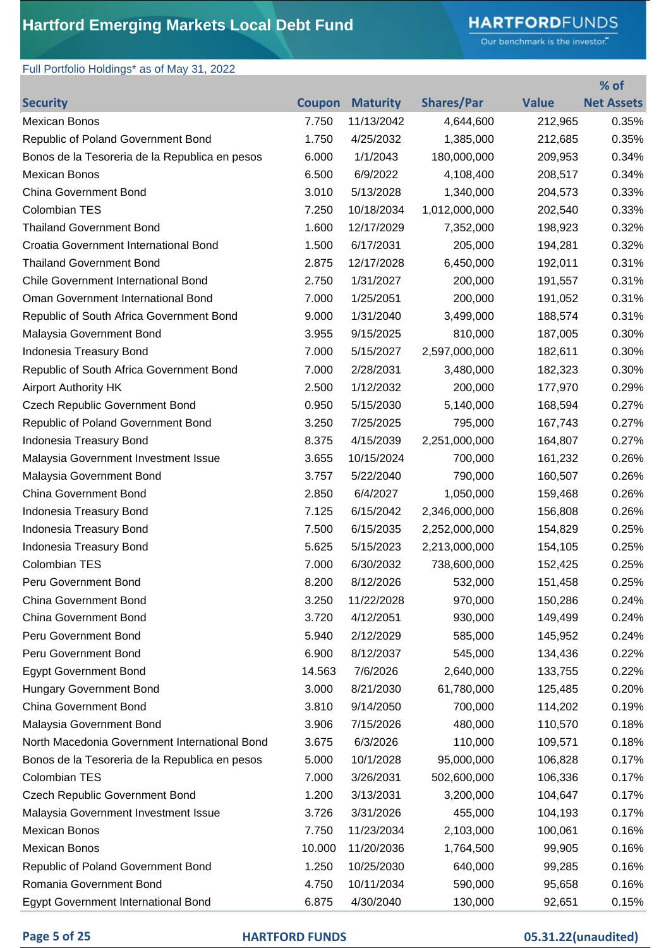# **HARTFORD**FUNDS

Our benchmark is the investor."

**% of** 

### Full Portfolio Holdings\* as of May 31, 2022

| <b>Security</b>                                | <b>Coupon</b> | <b>Maturity</b> | <b>Shares/Par</b> | <b>Value</b> | <b>Net Assets</b> |
|------------------------------------------------|---------------|-----------------|-------------------|--------------|-------------------|
| <b>Mexican Bonos</b>                           | 7.750         | 11/13/2042      | 4,644,600         | 212,965      | 0.35%             |
| Republic of Poland Government Bond             | 1.750         | 4/25/2032       | 1,385,000         | 212,685      | 0.35%             |
| Bonos de la Tesoreria de la Republica en pesos | 6.000         | 1/1/2043        | 180,000,000       | 209,953      | 0.34%             |
| <b>Mexican Bonos</b>                           | 6.500         | 6/9/2022        | 4,108,400         | 208,517      | 0.34%             |
| <b>China Government Bond</b>                   | 3.010         | 5/13/2028       | 1,340,000         | 204,573      | 0.33%             |
| <b>Colombian TES</b>                           | 7.250         | 10/18/2034      | 1,012,000,000     | 202,540      | 0.33%             |
| <b>Thailand Government Bond</b>                | 1.600         | 12/17/2029      | 7,352,000         | 198,923      | 0.32%             |
| Croatia Government International Bond          | 1.500         | 6/17/2031       | 205,000           | 194,281      | 0.32%             |
| <b>Thailand Government Bond</b>                | 2.875         | 12/17/2028      | 6,450,000         | 192,011      | 0.31%             |
| <b>Chile Government International Bond</b>     | 2.750         | 1/31/2027       | 200,000           | 191,557      | 0.31%             |
| Oman Government International Bond             | 7.000         | 1/25/2051       | 200,000           | 191,052      | 0.31%             |
| Republic of South Africa Government Bond       | 9.000         | 1/31/2040       | 3,499,000         | 188,574      | 0.31%             |
| Malaysia Government Bond                       | 3.955         | 9/15/2025       | 810,000           | 187,005      | 0.30%             |
| Indonesia Treasury Bond                        | 7.000         | 5/15/2027       | 2,597,000,000     | 182,611      | 0.30%             |
| Republic of South Africa Government Bond       | 7.000         | 2/28/2031       | 3,480,000         | 182,323      | 0.30%             |
| <b>Airport Authority HK</b>                    | 2.500         | 1/12/2032       | 200,000           | 177,970      | 0.29%             |
| <b>Czech Republic Government Bond</b>          | 0.950         | 5/15/2030       | 5,140,000         | 168,594      | 0.27%             |
| Republic of Poland Government Bond             | 3.250         | 7/25/2025       | 795,000           | 167,743      | 0.27%             |
| Indonesia Treasury Bond                        | 8.375         | 4/15/2039       | 2,251,000,000     | 164,807      | 0.27%             |
| Malaysia Government Investment Issue           | 3.655         | 10/15/2024      | 700,000           | 161,232      | 0.26%             |
| Malaysia Government Bond                       | 3.757         | 5/22/2040       | 790,000           | 160,507      | 0.26%             |
| <b>China Government Bond</b>                   | 2.850         | 6/4/2027        | 1,050,000         | 159,468      | 0.26%             |
| Indonesia Treasury Bond                        | 7.125         | 6/15/2042       | 2,346,000,000     | 156,808      | 0.26%             |
| Indonesia Treasury Bond                        | 7.500         | 6/15/2035       | 2,252,000,000     | 154,829      | 0.25%             |
| Indonesia Treasury Bond                        | 5.625         | 5/15/2023       | 2,213,000,000     | 154,105      | 0.25%             |
| Colombian TES                                  | 7.000         | 6/30/2032       | 738,600,000       | 152,425      | 0.25%             |
| Peru Government Bond                           | 8.200         | 8/12/2026       | 532,000           | 151,458      | 0.25%             |
| <b>China Government Bond</b>                   | 3.250         | 11/22/2028      | 970,000           | 150,286      | 0.24%             |
| <b>China Government Bond</b>                   | 3.720         | 4/12/2051       | 930,000           | 149,499      | 0.24%             |
| Peru Government Bond                           | 5.940         | 2/12/2029       | 585,000           | 145,952      | 0.24%             |
| Peru Government Bond                           | 6.900         | 8/12/2037       | 545,000           | 134,436      | 0.22%             |
| <b>Egypt Government Bond</b>                   | 14.563        | 7/6/2026        | 2,640,000         | 133,755      | 0.22%             |
| <b>Hungary Government Bond</b>                 | 3.000         | 8/21/2030       | 61,780,000        | 125,485      | 0.20%             |
| <b>China Government Bond</b>                   | 3.810         | 9/14/2050       | 700,000           | 114,202      | 0.19%             |
| Malaysia Government Bond                       | 3.906         | 7/15/2026       | 480,000           | 110,570      | 0.18%             |
| North Macedonia Government International Bond  | 3.675         | 6/3/2026        | 110,000           | 109,571      | 0.18%             |
| Bonos de la Tesoreria de la Republica en pesos | 5.000         | 10/1/2028       | 95,000,000        | 106,828      | 0.17%             |
| Colombian TES                                  | 7.000         | 3/26/2031       | 502,600,000       | 106,336      | 0.17%             |
| <b>Czech Republic Government Bond</b>          | 1.200         | 3/13/2031       | 3,200,000         | 104,647      | 0.17%             |
| Malaysia Government Investment Issue           | 3.726         | 3/31/2026       | 455,000           | 104,193      | 0.17%             |
| Mexican Bonos                                  | 7.750         | 11/23/2034      | 2,103,000         | 100,061      | 0.16%             |
| Mexican Bonos                                  | 10.000        | 11/20/2036      | 1,764,500         | 99,905       | 0.16%             |
| Republic of Poland Government Bond             | 1.250         | 10/25/2030      | 640,000           | 99,285       | 0.16%             |
| Romania Government Bond                        | 4.750         | 10/11/2034      | 590,000           | 95,658       | 0.16%             |
| <b>Egypt Government International Bond</b>     | 6.875         | 4/30/2040       | 130,000           | 92,651       | 0.15%             |

### **Page 5 of 25 HARTFORD FUNDS 05.31.22(unaudited)**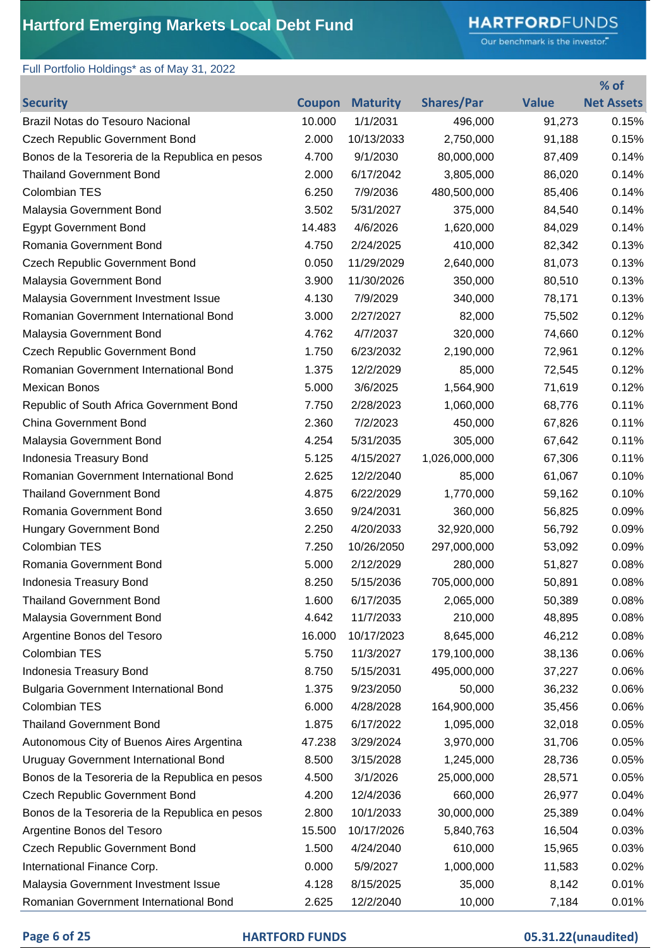# **HARTFORD**FUNDS

Our benchmark is the investor."

**% of** 

### Full Portfolio Holdings\* as of May 31, 2022

| <b>Security</b>                                | <b>Coupon</b> | <b>Maturity</b> | <b>Shares/Par</b> | <b>Value</b> | <b>Net Assets</b> |
|------------------------------------------------|---------------|-----------------|-------------------|--------------|-------------------|
| Brazil Notas do Tesouro Nacional               | 10.000        | 1/1/2031        | 496,000           | 91,273       | 0.15%             |
| <b>Czech Republic Government Bond</b>          | 2.000         | 10/13/2033      | 2,750,000         | 91,188       | 0.15%             |
| Bonos de la Tesoreria de la Republica en pesos | 4.700         | 9/1/2030        | 80,000,000        | 87,409       | 0.14%             |
| <b>Thailand Government Bond</b>                | 2.000         | 6/17/2042       | 3,805,000         | 86,020       | 0.14%             |
| Colombian TES                                  | 6.250         | 7/9/2036        | 480,500,000       | 85,406       | 0.14%             |
| Malaysia Government Bond                       | 3.502         | 5/31/2027       | 375,000           | 84,540       | 0.14%             |
| <b>Egypt Government Bond</b>                   | 14.483        | 4/6/2026        | 1,620,000         | 84,029       | 0.14%             |
| Romania Government Bond                        | 4.750         | 2/24/2025       | 410,000           | 82,342       | 0.13%             |
| <b>Czech Republic Government Bond</b>          | 0.050         | 11/29/2029      | 2,640,000         | 81,073       | 0.13%             |
| Malaysia Government Bond                       | 3.900         | 11/30/2026      | 350,000           | 80,510       | 0.13%             |
| Malaysia Government Investment Issue           | 4.130         | 7/9/2029        | 340,000           | 78,171       | 0.13%             |
| Romanian Government International Bond         | 3.000         | 2/27/2027       | 82,000            | 75,502       | 0.12%             |
| Malaysia Government Bond                       | 4.762         | 4/7/2037        | 320,000           | 74,660       | 0.12%             |
| <b>Czech Republic Government Bond</b>          | 1.750         | 6/23/2032       | 2,190,000         | 72,961       | 0.12%             |
| Romanian Government International Bond         | 1.375         | 12/2/2029       | 85,000            | 72,545       | 0.12%             |
| <b>Mexican Bonos</b>                           | 5.000         | 3/6/2025        | 1,564,900         | 71,619       | 0.12%             |
| Republic of South Africa Government Bond       | 7.750         | 2/28/2023       | 1,060,000         | 68,776       | 0.11%             |
| <b>China Government Bond</b>                   | 2.360         | 7/2/2023        | 450,000           | 67,826       | 0.11%             |
| Malaysia Government Bond                       | 4.254         | 5/31/2035       | 305,000           | 67,642       | 0.11%             |
| Indonesia Treasury Bond                        | 5.125         | 4/15/2027       | 1,026,000,000     | 67,306       | 0.11%             |
| Romanian Government International Bond         | 2.625         | 12/2/2040       | 85,000            | 61,067       | 0.10%             |
| <b>Thailand Government Bond</b>                | 4.875         | 6/22/2029       | 1,770,000         | 59,162       | 0.10%             |
| Romania Government Bond                        | 3.650         | 9/24/2031       | 360,000           | 56,825       | 0.09%             |
| <b>Hungary Government Bond</b>                 | 2.250         | 4/20/2033       | 32,920,000        | 56,792       | 0.09%             |
| <b>Colombian TES</b>                           | 7.250         | 10/26/2050      | 297,000,000       | 53,092       | 0.09%             |
| Romania Government Bond                        | 5.000         | 2/12/2029       | 280,000           | 51,827       | 0.08%             |
| Indonesia Treasury Bond                        | 8.250         | 5/15/2036       | 705,000,000       | 50,891       | 0.08%             |
| <b>Thailand Government Bond</b>                | 1.600         | 6/17/2035       | 2,065,000         | 50,389       | 0.08%             |
| Malaysia Government Bond                       | 4.642         | 11/7/2033       | 210,000           | 48,895       | 0.08%             |
| Argentine Bonos del Tesoro                     | 16.000        | 10/17/2023      | 8,645,000         | 46,212       | 0.08%             |
| <b>Colombian TES</b>                           | 5.750         | 11/3/2027       | 179,100,000       | 38,136       | 0.06%             |
| Indonesia Treasury Bond                        | 8.750         | 5/15/2031       | 495,000,000       | 37,227       | 0.06%             |
| <b>Bulgaria Government International Bond</b>  | 1.375         | 9/23/2050       | 50,000            | 36,232       | 0.06%             |
| Colombian TES                                  | 6.000         | 4/28/2028       | 164,900,000       | 35,456       | 0.06%             |
| <b>Thailand Government Bond</b>                | 1.875         | 6/17/2022       | 1,095,000         | 32,018       | 0.05%             |
| Autonomous City of Buenos Aires Argentina      | 47.238        | 3/29/2024       | 3,970,000         | 31,706       | 0.05%             |
| <b>Uruguay Government International Bond</b>   | 8.500         | 3/15/2028       | 1,245,000         | 28,736       | 0.05%             |
| Bonos de la Tesoreria de la Republica en pesos | 4.500         | 3/1/2026        | 25,000,000        | 28,571       | 0.05%             |
| <b>Czech Republic Government Bond</b>          | 4.200         | 12/4/2036       | 660,000           | 26,977       | 0.04%             |
| Bonos de la Tesoreria de la Republica en pesos | 2.800         | 10/1/2033       | 30,000,000        | 25,389       | 0.04%             |
| Argentine Bonos del Tesoro                     | 15.500        | 10/17/2026      | 5,840,763         | 16,504       | 0.03%             |
| <b>Czech Republic Government Bond</b>          | 1.500         | 4/24/2040       | 610,000           | 15,965       | 0.03%             |
| International Finance Corp.                    | 0.000         | 5/9/2027        | 1,000,000         | 11,583       | 0.02%             |
| Malaysia Government Investment Issue           | 4.128         | 8/15/2025       | 35,000            | 8,142        | 0.01%             |
| Romanian Government International Bond         | 2.625         | 12/2/2040       | 10,000            | 7,184        | 0.01%             |

### **Page 6 of 25 HARTFORD FUNDS 05.31.22(unaudited)**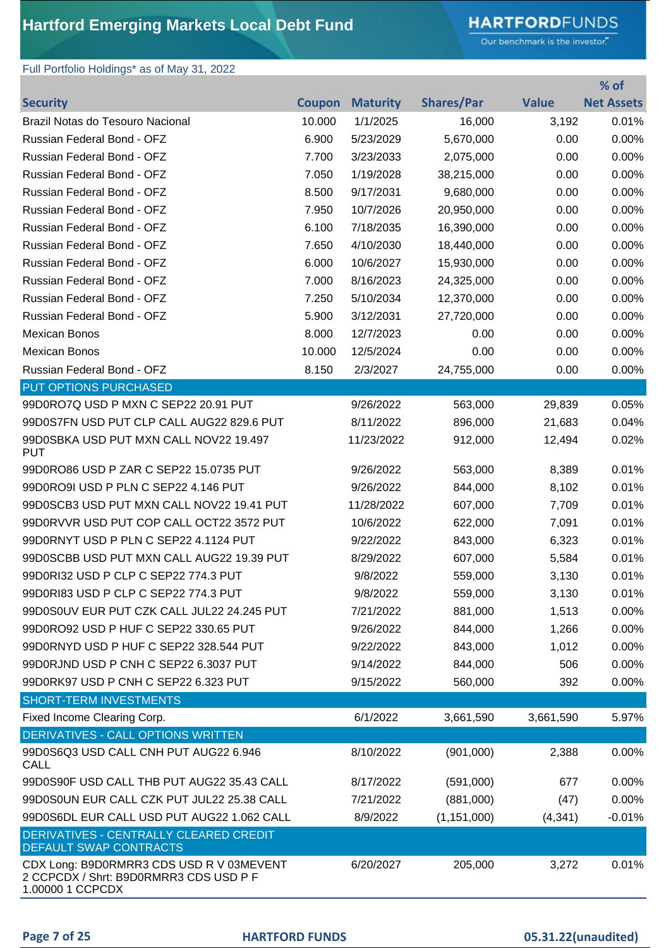# **HARTFORD**FUNDS

Our benchmark is the investor."

### Full Portfolio Holdings\* as of May 31, 2022

|                                                                                                        |               |                 |                   |              | % of              |
|--------------------------------------------------------------------------------------------------------|---------------|-----------------|-------------------|--------------|-------------------|
| <b>Security</b>                                                                                        | <b>Coupon</b> | <b>Maturity</b> | <b>Shares/Par</b> | <b>Value</b> | <b>Net Assets</b> |
| Brazil Notas do Tesouro Nacional                                                                       | 10.000        | 1/1/2025        | 16,000            | 3,192        | 0.01%             |
| Russian Federal Bond - OFZ                                                                             | 6.900         | 5/23/2029       | 5,670,000         | 0.00         | 0.00%             |
| Russian Federal Bond - OFZ                                                                             | 7.700         | 3/23/2033       | 2,075,000         | 0.00         | 0.00%             |
| Russian Federal Bond - OFZ                                                                             | 7.050         | 1/19/2028       | 38,215,000        | 0.00         | 0.00%             |
| Russian Federal Bond - OFZ                                                                             | 8.500         | 9/17/2031       | 9,680,000         | 0.00         | 0.00%             |
| Russian Federal Bond - OFZ                                                                             | 7.950         | 10/7/2026       | 20,950,000        | 0.00         | 0.00%             |
| Russian Federal Bond - OFZ                                                                             | 6.100         | 7/18/2035       | 16,390,000        | 0.00         | 0.00%             |
| Russian Federal Bond - OFZ                                                                             | 7.650         | 4/10/2030       | 18,440,000        | 0.00         | 0.00%             |
| Russian Federal Bond - OFZ                                                                             | 6.000         | 10/6/2027       | 15,930,000        | 0.00         | 0.00%             |
| Russian Federal Bond - OFZ                                                                             | 7.000         | 8/16/2023       | 24,325,000        | 0.00         | 0.00%             |
| Russian Federal Bond - OFZ                                                                             | 7.250         | 5/10/2034       | 12,370,000        | 0.00         | 0.00%             |
| Russian Federal Bond - OFZ                                                                             | 5.900         | 3/12/2031       | 27,720,000        | 0.00         | 0.00%             |
| <b>Mexican Bonos</b>                                                                                   | 8.000         | 12/7/2023       | 0.00              | 0.00         | 0.00%             |
| <b>Mexican Bonos</b>                                                                                   | 10.000        | 12/5/2024       | 0.00              | 0.00         | 0.00%             |
| Russian Federal Bond - OFZ                                                                             | 8.150         | 2/3/2027        | 24,755,000        | 0.00         | 0.00%             |
| <b>PUT OPTIONS PURCHASED</b>                                                                           |               |                 |                   |              |                   |
| 99D0RO7Q USD P MXN C SEP22 20.91 PUT                                                                   |               | 9/26/2022       | 563,000           | 29,839       | 0.05%             |
| 99D0S7FN USD PUT CLP CALL AUG22 829.6 PUT                                                              |               | 8/11/2022       | 896,000           | 21,683       | 0.04%             |
| 99D0SBKA USD PUT MXN CALL NOV22 19.497<br><b>PUT</b>                                                   |               | 11/23/2022      | 912,000           | 12,494       | 0.02%             |
| 99D0RO86 USD P ZAR C SEP22 15.0735 PUT                                                                 |               | 9/26/2022       | 563,000           | 8,389        | 0.01%             |
| 99D0RO9I USD P PLN C SEP22 4.146 PUT                                                                   |               | 9/26/2022       | 844,000           | 8,102        | 0.01%             |
| 99D0SCB3 USD PUT MXN CALL NOV22 19.41 PUT                                                              |               | 11/28/2022      | 607,000           | 7,709        | 0.01%             |
| 99D0RVVR USD PUT COP CALL OCT22 3572 PUT                                                               |               | 10/6/2022       | 622,000           | 7,091        | 0.01%             |
| 99D0RNYT USD P PLN C SEP22 4.1124 PUT                                                                  |               | 9/22/2022       | 843,000           | 6,323        | 0.01%             |
| 99D0SCBB USD PUT MXN CALL AUG22 19.39 PUT                                                              |               | 8/29/2022       | 607,000           | 5,584        | 0.01%             |
| 99D0RI32 USD P CLP C SEP22 774.3 PUT                                                                   |               | 9/8/2022        | 559,000           | 3,130        | 0.01%             |
| 99D0RI83 USD P CLP C SEP22 774.3 PUT                                                                   |               | 9/8/2022        | 559,000           | 3,130        | 0.01%             |
| 99D0S0UV EUR PUT CZK CALL JUL22 24.245 PUT                                                             |               | 7/21/2022       | 881,000           | 1,513        | $0.00\%$          |
| 99D0RO92 USD P HUF C SEP22 330.65 PUT                                                                  |               | 9/26/2022       | 844,000           | 1,266        | 0.00%             |
| 99D0RNYD USD P HUF C SEP22 328.544 PUT                                                                 |               | 9/22/2022       | 843,000           | 1,012        | 0.00%             |
| 99D0RJND USD P CNH C SEP22 6.3037 PUT                                                                  |               | 9/14/2022       | 844,000           | 506          | 0.00%             |
| 99D0RK97 USD P CNH C SEP22 6.323 PUT                                                                   |               | 9/15/2022       | 560,000           | 392          | 0.00%             |
| <b>SHORT-TERM INVESTMENTS</b>                                                                          |               |                 |                   |              |                   |
| Fixed Income Clearing Corp.                                                                            |               | 6/1/2022        | 3,661,590         | 3,661,590    | 5.97%             |
| DERIVATIVES - CALL OPTIONS WRITTEN                                                                     |               |                 |                   |              |                   |
| 99D0S6Q3 USD CALL CNH PUT AUG22 6.946<br><b>CALL</b>                                                   |               | 8/10/2022       | (901,000)         | 2,388        | 0.00%             |
| 99D0S90F USD CALL THB PUT AUG22 35.43 CALL                                                             |               | 8/17/2022       | (591,000)         | 677          | 0.00%             |
| 99D0S0UN EUR CALL CZK PUT JUL22 25.38 CALL                                                             |               | 7/21/2022       | (881,000)         | (47)         | 0.00%             |
| 99D0S6DL EUR CALL USD PUT AUG22 1.062 CALL                                                             |               | 8/9/2022        | (1, 151, 000)     | (4, 341)     | $-0.01%$          |
| DERIVATIVES - CENTRALLY CLEARED CREDIT<br><b>DEFAULT SWAP CONTRACTS</b>                                |               |                 |                   |              |                   |
| CDX Long: B9D0RMRR3 CDS USD R V 03MEVENT<br>2 CCPCDX / Shrt: B9D0RMRR3 CDS USD P F<br>1.00000 1 CCPCDX |               | 6/20/2027       | 205,000           | 3,272        | 0.01%             |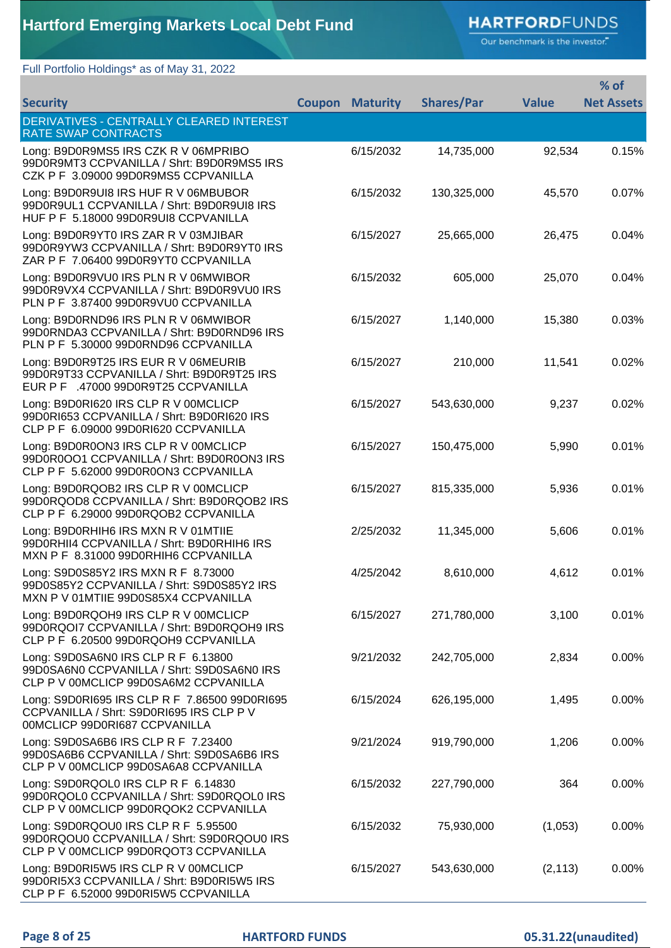# **HARTFORD**FUNDS

Our benchmark is the investor."

### Full Portfolio Holdings\* as of May 31, 2022

|                                                                                                                            |        |                 |                   |              | % of              |
|----------------------------------------------------------------------------------------------------------------------------|--------|-----------------|-------------------|--------------|-------------------|
| <b>Security</b>                                                                                                            | Coupon | <b>Maturity</b> | <b>Shares/Par</b> | <b>Value</b> | <b>Net Assets</b> |
| DERIVATIVES - CENTRALLY CLEARED INTEREST<br>RATE SWAP CONTRACTS                                                            |        |                 |                   |              |                   |
| Long: B9D0R9MS5 IRS CZK R V 06MPRIBO<br>99D0R9MT3 CCPVANILLA / Shrt: B9D0R9MS5 IRS<br>CZK P F 3.09000 99D0R9MS5 CCPVANILLA |        | 6/15/2032       | 14,735,000        | 92,534       | 0.15%             |
| Long: B9D0R9UI8 IRS HUF R V 06MBUBOR<br>99D0R9UL1 CCPVANILLA / Shrt: B9D0R9UI8 IRS<br>HUF P F 5.18000 99D0R9UI8 CCPVANILLA |        | 6/15/2032       | 130,325,000       | 45,570       | 0.07%             |
| Long: B9D0R9YT0 IRS ZAR R V 03MJIBAR<br>99D0R9YW3 CCPVANILLA / Shrt: B9D0R9YT0 IRS<br>ZAR P F 7.06400 99D0R9YT0 CCPVANILLA |        | 6/15/2027       | 25,665,000        | 26,475       | 0.04%             |
| Long: B9D0R9VU0 IRS PLN R V 06MWIBOR<br>99D0R9VX4 CCPVANILLA / Shrt: B9D0R9VU0 IRS<br>PLN P F 3.87400 99D0R9VU0 CCPVANILLA |        | 6/15/2032       | 605,000           | 25,070       | 0.04%             |
| Long: B9D0RND96 IRS PLN R V 06MWIBOR<br>99D0RNDA3 CCPVANILLA / Shrt: B9D0RND96 IRS<br>PLN P F 5.30000 99D0RND96 CCPVANILLA |        | 6/15/2027       | 1,140,000         | 15,380       | 0.03%             |
| Long: B9D0R9T25 IRS EUR R V 06MEURIB<br>99D0R9T33 CCPVANILLA / Shrt: B9D0R9T25 IRS<br>EUR P F .47000 99D0R9T25 CCPVANILLA  |        | 6/15/2027       | 210,000           | 11,541       | 0.02%             |
| Long: B9D0RI620 IRS CLP R V 00MCLICP<br>99D0RI653 CCPVANILLA / Shrt: B9D0RI620 IRS<br>CLP P F 6.09000 99D0RI620 CCPVANILLA |        | 6/15/2027       | 543,630,000       | 9,237        | 0.02%             |
| Long: B9D0R0ON3 IRS CLP R V 00MCLICP<br>99D0R0OO1 CCPVANILLA / Shrt: B9D0R0ON3 IRS<br>CLP P F 5.62000 99D0R0ON3 CCPVANILLA |        | 6/15/2027       | 150,475,000       | 5,990        | 0.01%             |
| Long: B9D0RQOB2 IRS CLP R V 00MCLICP<br>99D0RQOD8 CCPVANILLA / Shrt: B9D0RQOB2 IRS<br>CLP P F 6.29000 99D0RQOB2 CCPVANILLA |        | 6/15/2027       | 815,335,000       | 5,936        | 0.01%             |
| Long: B9D0RHIH6 IRS MXN R V 01MTIIE<br>99D0RHII4 CCPVANILLA / Shrt: B9D0RHIH6 IRS<br>MXN P F 8.31000 99D0RHIH6 CCPVANILLA  |        | 2/25/2032       | 11,345,000        | 5,606        | 0.01%             |
| Long: S9D0S85Y2 IRS MXN R F 8.73000<br>99D0S85Y2 CCPVANILLA / Shrt: S9D0S85Y2 IRS<br>MXN P V 01MTIIE 99D0S85X4 CCPVANILLA  |        | 4/25/2042       | 8,610,000         | 4,612        | 0.01%             |
| Long: B9D0RQOH9 IRS CLP R V 00MCLICP<br>99D0RQOI7 CCPVANILLA / Shrt: B9D0RQOH9 IRS<br>CLP P F 6.20500 99D0RQOH9 CCPVANILLA |        | 6/15/2027       | 271,780,000       | 3,100        | 0.01%             |
| Long: S9D0SA6N0 IRS CLP R F 6.13800<br>99D0SA6N0 CCPVANILLA / Shrt: S9D0SA6N0 IRS<br>CLP P V 00MCLICP 99D0SA6M2 CCPVANILLA |        | 9/21/2032       | 242,705,000       | 2,834        | 0.00%             |
| Long: S9D0RI695 IRS CLP R F 7.86500 99D0RI695<br>CCPVANILLA / Shrt: S9D0RI695 IRS CLP P V<br>00MCLICP 99D0RI687 CCPVANILLA |        | 6/15/2024       | 626,195,000       | 1,495        | 0.00%             |
| Long: S9D0SA6B6 IRS CLP R F 7.23400<br>99D0SA6B6 CCPVANILLA / Shrt: S9D0SA6B6 IRS<br>CLP P V 00MCLICP 99D0SA6A8 CCPVANILLA |        | 9/21/2024       | 919,790,000       | 1,206        | 0.00%             |
| Long: S9D0RQOL0 IRS CLP R F 6.14830<br>99D0RQOL0 CCPVANILLA / Shrt: S9D0RQOL0 IRS<br>CLP P V 00MCLICP 99D0RQOK2 CCPVANILLA |        | 6/15/2032       | 227,790,000       | 364          | 0.00%             |
| Long: S9D0RQOU0 IRS CLP R F 5.95500<br>99D0RQOU0 CCPVANILLA / Shrt: S9D0RQOU0 IRS<br>CLP P V 00MCLICP 99D0RQOT3 CCPVANILLA |        | 6/15/2032       | 75,930,000        | (1,053)      | 0.00%             |
| Long: B9D0RI5W5 IRS CLP R V 00MCLICP<br>99D0RI5X3 CCPVANILLA / Shrt: B9D0RI5W5 IRS<br>CLP P F 6.52000 99D0RI5W5 CCPVANILLA |        | 6/15/2027       | 543,630,000       | (2, 113)     | 0.00%             |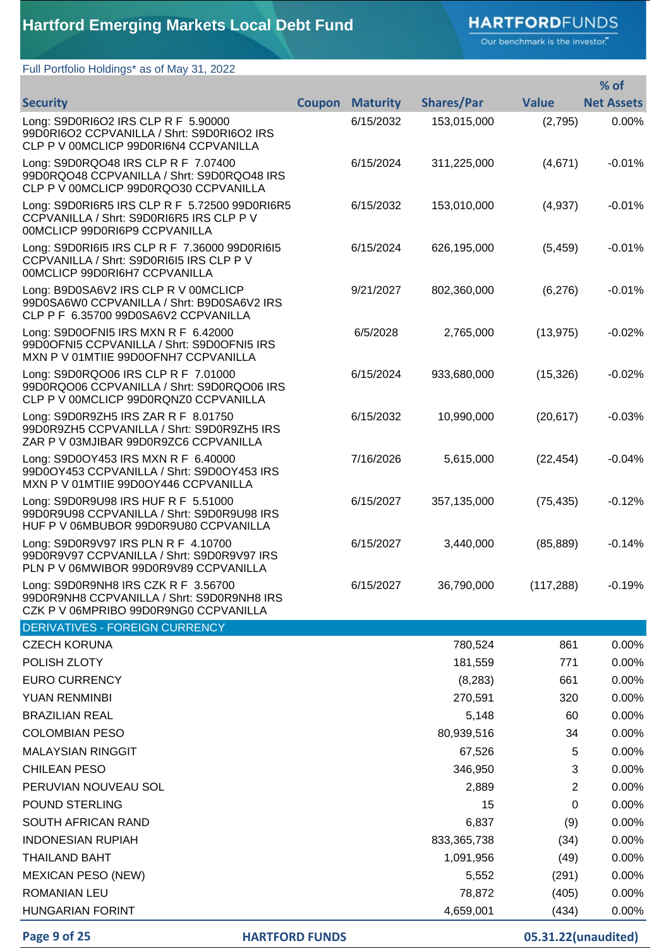### **HARTFORD**FUNDS

Our benchmark is the investor."

### Full Portfolio Holdings\* as of May 31, 2022

|                                                                                                                            |               |                 |                   |                | % of              |
|----------------------------------------------------------------------------------------------------------------------------|---------------|-----------------|-------------------|----------------|-------------------|
| <b>Security</b>                                                                                                            | <b>Coupon</b> | <b>Maturity</b> | <b>Shares/Par</b> | <b>Value</b>   | <b>Net Assets</b> |
| Long: S9D0RI6O2 IRS CLP R F 5.90000<br>99D0RI6O2 CCPVANILLA / Shrt: S9D0RI6O2 IRS<br>CLP P V 00MCLICP 99D0RI6N4 CCPVANILLA |               | 6/15/2032       | 153,015,000       | (2,795)        | 0.00%             |
| Long: S9D0RQO48 IRS CLP R F 7.07400<br>99D0RQO48 CCPVANILLA / Shrt: S9D0RQO48 IRS<br>CLP P V 00MCLICP 99D0RQO30 CCPVANILLA |               | 6/15/2024       | 311,225,000       | (4,671)        | $-0.01%$          |
| Long: S9D0RI6R5 IRS CLP R F 5.72500 99D0RI6R5<br>CCPVANILLA / Shrt: S9D0RI6R5 IRS CLP P V<br>00MCLICP 99D0RI6P9 CCPVANILLA |               | 6/15/2032       | 153,010,000       | (4,937)        | $-0.01%$          |
| Long: S9D0RI6I5 IRS CLP R F 7.36000 99D0RI6I5<br>CCPVANILLA / Shrt: S9D0RI6I5 IRS CLP P V<br>00MCLICP 99D0RI6H7 CCPVANILLA |               | 6/15/2024       | 626,195,000       | (5, 459)       | $-0.01%$          |
| Long: B9D0SA6V2 IRS CLP R V 00MCLICP<br>99D0SA6W0 CCPVANILLA / Shrt: B9D0SA6V2 IRS<br>CLP P F 6.35700 99D0SA6V2 CCPVANILLA |               | 9/21/2027       | 802,360,000       | (6,276)        | $-0.01%$          |
| Long: S9D0OFNI5 IRS MXN R F 6.42000<br>99D0OFNI5 CCPVANILLA / Shrt: S9D0OFNI5 IRS<br>MXN P V 01MTIIE 99D0OFNH7 CCPVANILLA  |               | 6/5/2028        | 2,765,000         | (13, 975)      | $-0.02%$          |
| Long: S9D0RQO06 IRS CLP R F 7.01000<br>99D0RQO06 CCPVANILLA / Shrt: S9D0RQO06 IRS<br>CLP P V 00MCLICP 99D0RQNZ0 CCPVANILLA |               | 6/15/2024       | 933,680,000       | (15, 326)      | $-0.02%$          |
| Long: S9D0R9ZH5 IRS ZAR R F 8.01750<br>99D0R9ZH5 CCPVANILLA / Shrt: S9D0R9ZH5 IRS<br>ZAR P V 03MJIBAR 99D0R9ZC6 CCPVANILLA |               | 6/15/2032       | 10,990,000        | (20, 617)      | $-0.03%$          |
| Long: S9D0OY453 IRS MXN R F 6.40000<br>99D0OY453 CCPVANILLA / Shrt: S9D0OY453 IRS<br>MXN P V 01MTIIE 99D0OY446 CCPVANILLA  |               | 7/16/2026       | 5,615,000         | (22, 454)      | $-0.04%$          |
| Long: S9D0R9U98 IRS HUF R F 5.51000<br>99D0R9U98 CCPVANILLA / Shrt: S9D0R9U98 IRS<br>HUF P V 06MBUBOR 99D0R9U80 CCPVANILLA |               | 6/15/2027       | 357,135,000       | (75, 435)      | $-0.12%$          |
| Long: S9D0R9V97 IRS PLN R F 4.10700<br>99D0R9V97 CCPVANILLA / Shrt: S9D0R9V97 IRS<br>PLN P V 06MWIBOR 99D0R9V89 CCPVANILLA |               | 6/15/2027       | 3,440,000         | (85, 889)      | $-0.14%$          |
| Long: S9D0R9NH8 IRS CZK R F 3.56700<br>99D0R9NH8 CCPVANILLA / Shrt: S9D0R9NH8 IRS<br>CZK P V 06MPRIBO 99D0R9NG0 CCPVANILLA |               | 6/15/2027       | 36,790,000        | (117, 288)     | $-0.19%$          |
| DERIVATIVES - FOREIGN CURRENCY                                                                                             |               |                 |                   |                |                   |
| <b>CZECH KORUNA</b>                                                                                                        |               |                 | 780,524           | 861            | 0.00%             |
| POLISH ZLOTY                                                                                                               |               |                 | 181,559           | 771            | 0.00%             |
| <b>EURO CURRENCY</b>                                                                                                       |               |                 | (8, 283)          | 661            | 0.00%             |
| YUAN RENMINBI                                                                                                              |               |                 | 270,591           | 320            | 0.00%             |
| <b>BRAZILIAN REAL</b>                                                                                                      |               |                 | 5,148             | 60             | 0.00%             |
| <b>COLOMBIAN PESO</b>                                                                                                      |               |                 | 80,939,516        | 34             | 0.00%             |
| <b>MALAYSIAN RINGGIT</b>                                                                                                   |               |                 | 67,526            | 5              | 0.00%             |
| <b>CHILEAN PESO</b>                                                                                                        |               |                 | 346,950           | 3              | 0.00%             |
| PERUVIAN NOUVEAU SOL                                                                                                       |               |                 | 2,889             | $\overline{2}$ | 0.00%             |
| POUND STERLING                                                                                                             |               |                 | 15                | 0              | 0.00%             |
| SOUTH AFRICAN RAND                                                                                                         |               |                 | 6,837             | (9)            | 0.00%             |
| <b>INDONESIAN RUPIAH</b>                                                                                                   |               |                 | 833, 365, 738     | (34)           | 0.00%             |
| <b>THAILAND BAHT</b>                                                                                                       |               |                 | 1,091,956         | (49)           | 0.00%             |
| <b>MEXICAN PESO (NEW)</b>                                                                                                  |               |                 | 5,552             | (291)          | 0.00%             |
| ROMANIAN LEU                                                                                                               |               |                 | 78,872            | (405)          | 0.00%             |
| <b>HUNGARIAN FORINT</b>                                                                                                    |               |                 | 4,659,001         | (434)          | 0.00%             |

**Page 9 of 25 HARTFORD FUNDS 05.31.22(unaudited)**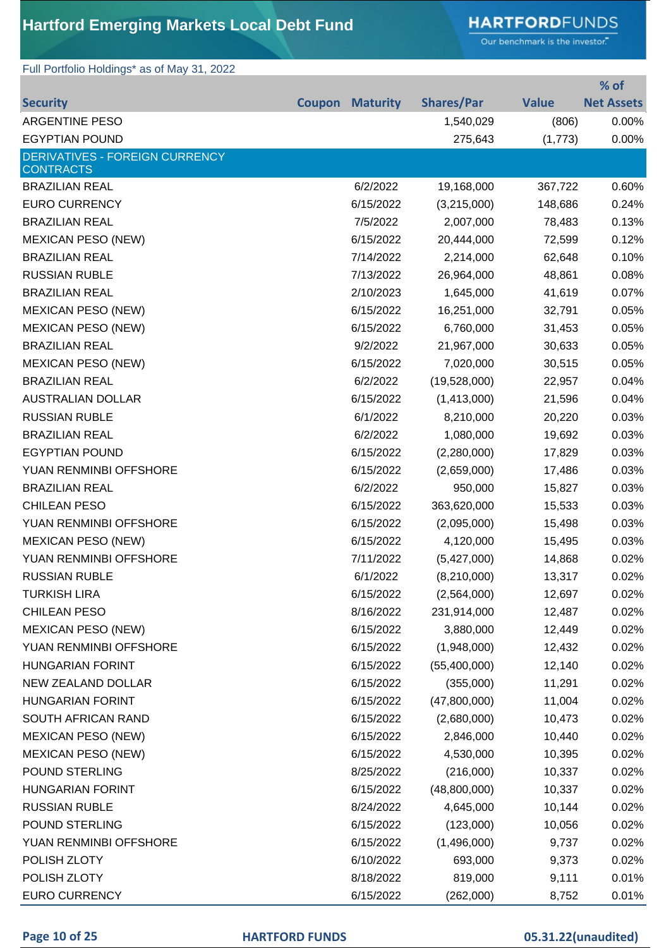### **HARTFORD**FUNDS

Our benchmark is the investor."

### Full Portfolio Holdings\* as of May 31, 2022

|                                       |                        |                   |              | % of              |
|---------------------------------------|------------------------|-------------------|--------------|-------------------|
| <b>Security</b>                       | <b>Coupon Maturity</b> | <b>Shares/Par</b> | <b>Value</b> | <b>Net Assets</b> |
| <b>ARGENTINE PESO</b>                 |                        | 1,540,029         | (806)        | 0.00%             |
| <b>EGYPTIAN POUND</b>                 |                        | 275,643           | (1,773)      | 0.00%             |
| <b>DERIVATIVES - FOREIGN CURRENCY</b> |                        |                   |              |                   |
| <b>CONTRACTS</b>                      |                        |                   |              |                   |
| <b>BRAZILIAN REAL</b>                 | 6/2/2022               | 19,168,000        | 367,722      | 0.60%             |
| <b>EURO CURRENCY</b>                  | 6/15/2022              | (3,215,000)       | 148,686      | 0.24%             |
| <b>BRAZILIAN REAL</b>                 | 7/5/2022               | 2,007,000         | 78,483       | 0.13%             |
| <b>MEXICAN PESO (NEW)</b>             | 6/15/2022              | 20,444,000        | 72,599       | 0.12%             |
| <b>BRAZILIAN REAL</b>                 | 7/14/2022              | 2,214,000         | 62,648       | 0.10%             |
| <b>RUSSIAN RUBLE</b>                  | 7/13/2022              | 26,964,000        | 48,861       | 0.08%             |
| <b>BRAZILIAN REAL</b>                 | 2/10/2023              | 1,645,000         | 41,619       | 0.07%             |
| <b>MEXICAN PESO (NEW)</b>             | 6/15/2022              | 16,251,000        | 32,791       | 0.05%             |
| <b>MEXICAN PESO (NEW)</b>             | 6/15/2022              | 6,760,000         | 31,453       | 0.05%             |
| <b>BRAZILIAN REAL</b>                 | 9/2/2022               | 21,967,000        | 30,633       | 0.05%             |
| <b>MEXICAN PESO (NEW)</b>             | 6/15/2022              | 7,020,000         | 30,515       | 0.05%             |
| <b>BRAZILIAN REAL</b>                 | 6/2/2022               | (19,528,000)      | 22,957       | 0.04%             |
| <b>AUSTRALIAN DOLLAR</b>              | 6/15/2022              | (1,413,000)       | 21,596       | 0.04%             |
| <b>RUSSIAN RUBLE</b>                  | 6/1/2022               | 8,210,000         | 20,220       | 0.03%             |
| <b>BRAZILIAN REAL</b>                 | 6/2/2022               | 1,080,000         | 19,692       | 0.03%             |
| <b>EGYPTIAN POUND</b>                 | 6/15/2022              | (2,280,000)       | 17,829       | 0.03%             |
| YUAN RENMINBI OFFSHORE                | 6/15/2022              | (2,659,000)       | 17,486       | 0.03%             |
| <b>BRAZILIAN REAL</b>                 | 6/2/2022               | 950,000           | 15,827       | 0.03%             |
| <b>CHILEAN PESO</b>                   | 6/15/2022              | 363,620,000       | 15,533       | 0.03%             |
| YUAN RENMINBI OFFSHORE                | 6/15/2022              | (2,095,000)       | 15,498       | 0.03%             |
| <b>MEXICAN PESO (NEW)</b>             | 6/15/2022              | 4,120,000         | 15,495       | 0.03%             |
| YUAN RENMINBI OFFSHORE                | 7/11/2022              | (5,427,000)       | 14,868       | 0.02%             |
| <b>RUSSIAN RUBLE</b>                  | 6/1/2022               | (8, 210, 000)     | 13,317       | 0.02%             |
| <b>TURKISH LIRA</b>                   | 6/15/2022              | (2,564,000)       | 12,697       | 0.02%             |
| <b>CHILEAN PESO</b>                   | 8/16/2022              | 231,914,000       | 12,487       | 0.02%             |
| <b>MEXICAN PESO (NEW)</b>             | 6/15/2022              | 3,880,000         | 12,449       | 0.02%             |
| YUAN RENMINBI OFFSHORE                | 6/15/2022              | (1,948,000)       | 12,432       | 0.02%             |
| <b>HUNGARIAN FORINT</b>               | 6/15/2022              | (55,400,000)      | 12,140       | 0.02%             |
| NEW ZEALAND DOLLAR                    | 6/15/2022              | (355,000)         | 11,291       | 0.02%             |
| <b>HUNGARIAN FORINT</b>               | 6/15/2022              | (47,800,000)      | 11,004       | 0.02%             |
| SOUTH AFRICAN RAND                    | 6/15/2022              | (2,680,000)       | 10,473       | 0.02%             |
| <b>MEXICAN PESO (NEW)</b>             | 6/15/2022              | 2,846,000         | 10,440       | 0.02%             |
| <b>MEXICAN PESO (NEW)</b>             | 6/15/2022              | 4,530,000         | 10,395       | 0.02%             |
| POUND STERLING                        | 8/25/2022              | (216,000)         | 10,337       | 0.02%             |
| <b>HUNGARIAN FORINT</b>               | 6/15/2022              | (48,800,000)      | 10,337       | 0.02%             |
| <b>RUSSIAN RUBLE</b>                  | 8/24/2022              | 4,645,000         | 10,144       | 0.02%             |
| POUND STERLING                        | 6/15/2022              | (123,000)         | 10,056       | 0.02%             |
| YUAN RENMINBI OFFSHORE                | 6/15/2022              | (1,496,000)       | 9,737        | 0.02%             |
| POLISH ZLOTY                          | 6/10/2022              | 693,000           | 9,373        | 0.02%             |
| POLISH ZLOTY                          | 8/18/2022              | 819,000           | 9,111        | 0.01%             |
| <b>EURO CURRENCY</b>                  | 6/15/2022              | (262,000)         | 8,752        | 0.01%             |
|                                       |                        |                   |              |                   |

### **Page 10 of 25 HARTFORD FUNDS 05.31.22(unaudited)**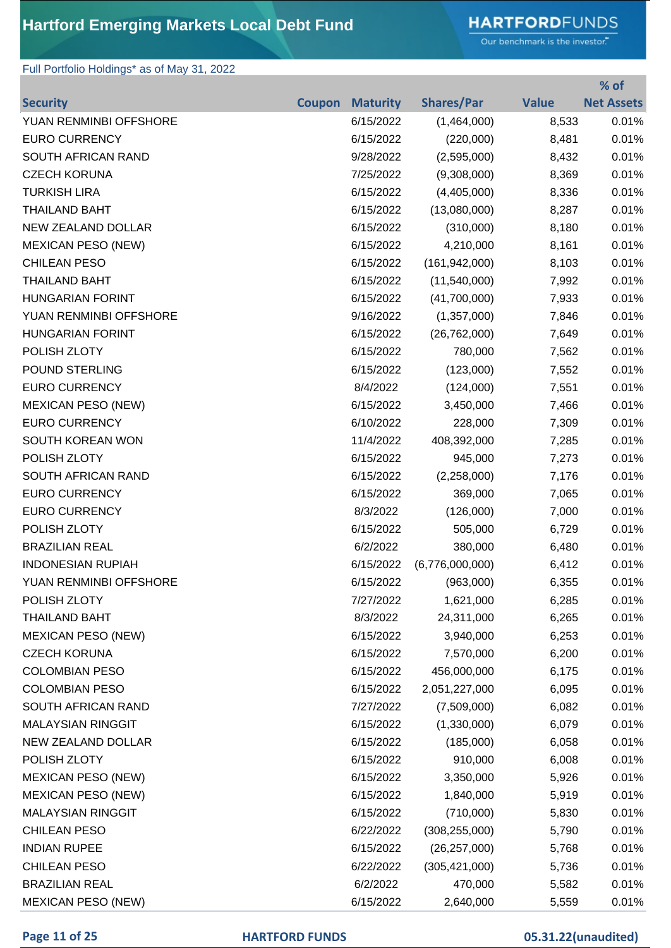# **HARTFORD**FUNDS

Our benchmark is the investor."

**% of** 

### Full Portfolio Holdings\* as of May 31, 2022

|                           |               |                 |                   |              | 70 OT             |
|---------------------------|---------------|-----------------|-------------------|--------------|-------------------|
| <b>Security</b>           | <b>Coupon</b> | <b>Maturity</b> | <b>Shares/Par</b> | <b>Value</b> | <b>Net Assets</b> |
| YUAN RENMINBI OFFSHORE    |               | 6/15/2022       | (1,464,000)       | 8,533        | 0.01%             |
| <b>EURO CURRENCY</b>      |               | 6/15/2022       | (220,000)         | 8,481        | 0.01%             |
| SOUTH AFRICAN RAND        |               | 9/28/2022       | (2,595,000)       | 8,432        | 0.01%             |
| <b>CZECH KORUNA</b>       |               | 7/25/2022       | (9,308,000)       | 8,369        | 0.01%             |
| <b>TURKISH LIRA</b>       |               | 6/15/2022       | (4,405,000)       | 8,336        | 0.01%             |
| <b>THAILAND BAHT</b>      |               | 6/15/2022       | (13,080,000)      | 8,287        | 0.01%             |
| <b>NEW ZEALAND DOLLAR</b> |               | 6/15/2022       | (310,000)         | 8,180        | 0.01%             |
| <b>MEXICAN PESO (NEW)</b> |               | 6/15/2022       | 4,210,000         | 8,161        | 0.01%             |
| <b>CHILEAN PESO</b>       |               | 6/15/2022       | (161, 942, 000)   | 8,103        | 0.01%             |
| <b>THAILAND BAHT</b>      |               | 6/15/2022       | (11,540,000)      | 7,992        | 0.01%             |
| <b>HUNGARIAN FORINT</b>   |               | 6/15/2022       | (41,700,000)      | 7,933        | 0.01%             |
| YUAN RENMINBI OFFSHORE    |               | 9/16/2022       | (1,357,000)       | 7,846        | 0.01%             |
| <b>HUNGARIAN FORINT</b>   |               | 6/15/2022       | (26, 762, 000)    | 7,649        | 0.01%             |
| POLISH ZLOTY              |               | 6/15/2022       | 780,000           | 7,562        | 0.01%             |
| <b>POUND STERLING</b>     |               | 6/15/2022       | (123,000)         | 7,552        | 0.01%             |
| <b>EURO CURRENCY</b>      |               | 8/4/2022        | (124,000)         | 7,551        | 0.01%             |
| <b>MEXICAN PESO (NEW)</b> |               | 6/15/2022       | 3,450,000         | 7,466        | 0.01%             |
| <b>EURO CURRENCY</b>      |               | 6/10/2022       | 228,000           | 7,309        | 0.01%             |
| SOUTH KOREAN WON          |               | 11/4/2022       | 408,392,000       | 7,285        | 0.01%             |
| POLISH ZLOTY              |               | 6/15/2022       | 945,000           | 7,273        | 0.01%             |
| SOUTH AFRICAN RAND        |               | 6/15/2022       | (2,258,000)       | 7,176        | 0.01%             |
| <b>EURO CURRENCY</b>      |               | 6/15/2022       | 369,000           | 7,065        | 0.01%             |
| <b>EURO CURRENCY</b>      |               | 8/3/2022        | (126,000)         | 7,000        | 0.01%             |
| POLISH ZLOTY              |               | 6/15/2022       | 505,000           | 6,729        | 0.01%             |
| <b>BRAZILIAN REAL</b>     |               | 6/2/2022        | 380,000           | 6,480        | 0.01%             |
| <b>INDONESIAN RUPIAH</b>  |               | 6/15/2022       | (6,776,000,000)   | 6,412        | 0.01%             |
| YUAN RENMINBI OFFSHORE    |               | 6/15/2022       | (963,000)         | 6,355        | 0.01%             |
| POLISH ZLOTY              |               | 7/27/2022       | 1,621,000         | 6,285        | 0.01%             |
| <b>THAILAND BAHT</b>      |               | 8/3/2022        | 24,311,000        | 6,265        | 0.01%             |
| <b>MEXICAN PESO (NEW)</b> |               | 6/15/2022       | 3,940,000         | 6,253        | 0.01%             |
| <b>CZECH KORUNA</b>       |               | 6/15/2022       | 7,570,000         | 6,200        | 0.01%             |
| <b>COLOMBIAN PESO</b>     |               | 6/15/2022       | 456,000,000       | 6,175        | 0.01%             |
| <b>COLOMBIAN PESO</b>     |               | 6/15/2022       | 2,051,227,000     | 6,095        | 0.01%             |
| SOUTH AFRICAN RAND        |               | 7/27/2022       | (7,509,000)       | 6,082        | 0.01%             |
| <b>MALAYSIAN RINGGIT</b>  |               | 6/15/2022       | (1,330,000)       | 6,079        | 0.01%             |
| <b>NEW ZEALAND DOLLAR</b> |               | 6/15/2022       | (185,000)         | 6,058        | 0.01%             |
| POLISH ZLOTY              |               | 6/15/2022       | 910,000           | 6,008        | 0.01%             |
| <b>MEXICAN PESO (NEW)</b> |               | 6/15/2022       | 3,350,000         | 5,926        | 0.01%             |
| <b>MEXICAN PESO (NEW)</b> |               | 6/15/2022       | 1,840,000         | 5,919        | 0.01%             |
| <b>MALAYSIAN RINGGIT</b>  |               | 6/15/2022       | (710,000)         | 5,830        | 0.01%             |
| <b>CHILEAN PESO</b>       |               | 6/22/2022       | (308, 255, 000)   | 5,790        | 0.01%             |
| <b>INDIAN RUPEE</b>       |               | 6/15/2022       | (26, 257, 000)    | 5,768        | 0.01%             |
| CHILEAN PESO              |               | 6/22/2022       | (305, 421, 000)   | 5,736        | 0.01%             |
| <b>BRAZILIAN REAL</b>     |               | 6/2/2022        | 470,000           | 5,582        | 0.01%             |
| <b>MEXICAN PESO (NEW)</b> |               | 6/15/2022       | 2,640,000         | 5,559        | 0.01%             |

### **Page 11 of 25 HARTFORD FUNDS 05.31.22(unaudited)**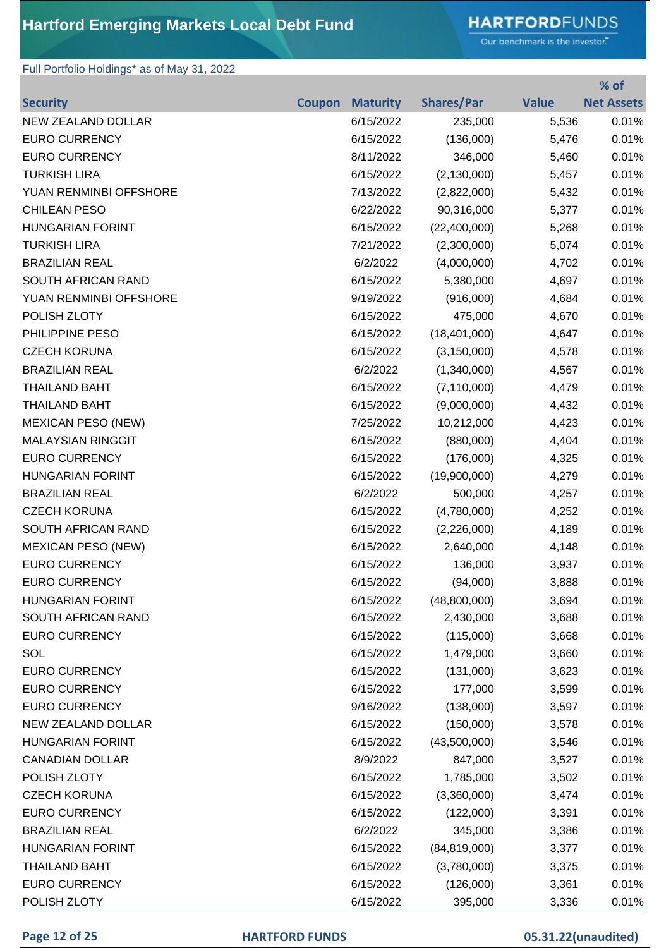# **HARTFORD**FUNDS

Our benchmark is the investor."

### Full Portfolio Holdings\* as of May 31, 2022

|                           |               |                 |                   |              | % of              |
|---------------------------|---------------|-----------------|-------------------|--------------|-------------------|
| <b>Security</b>           | <b>Coupon</b> | <b>Maturity</b> | <b>Shares/Par</b> | <b>Value</b> | <b>Net Assets</b> |
| NEW ZEALAND DOLLAR        |               | 6/15/2022       | 235,000           | 5,536        | 0.01%             |
| <b>EURO CURRENCY</b>      |               | 6/15/2022       | (136,000)         | 5,476        | 0.01%             |
| <b>EURO CURRENCY</b>      |               | 8/11/2022       | 346,000           | 5,460        | 0.01%             |
| <b>TURKISH LIRA</b>       |               | 6/15/2022       | (2, 130, 000)     | 5,457        | 0.01%             |
| YUAN RENMINBI OFFSHORE    |               | 7/13/2022       | (2,822,000)       | 5,432        | 0.01%             |
| <b>CHILEAN PESO</b>       |               | 6/22/2022       | 90,316,000        | 5,377        | 0.01%             |
| <b>HUNGARIAN FORINT</b>   |               | 6/15/2022       | (22,400,000)      | 5,268        | 0.01%             |
| <b>TURKISH LIRA</b>       |               | 7/21/2022       | (2,300,000)       | 5,074        | 0.01%             |
| <b>BRAZILIAN REAL</b>     |               | 6/2/2022        | (4,000,000)       | 4,702        | 0.01%             |
| SOUTH AFRICAN RAND        |               | 6/15/2022       | 5,380,000         | 4,697        | 0.01%             |
| YUAN RENMINBI OFFSHORE    |               | 9/19/2022       | (916,000)         | 4,684        | 0.01%             |
| POLISH ZLOTY              |               | 6/15/2022       | 475,000           | 4,670        | 0.01%             |
| PHILIPPINE PESO           |               | 6/15/2022       | (18, 401, 000)    | 4,647        | 0.01%             |
| <b>CZECH KORUNA</b>       |               | 6/15/2022       | (3, 150, 000)     | 4,578        | 0.01%             |
| <b>BRAZILIAN REAL</b>     |               | 6/2/2022        | (1,340,000)       | 4,567        | 0.01%             |
| <b>THAILAND BAHT</b>      |               | 6/15/2022       | (7, 110, 000)     | 4,479        | 0.01%             |
| <b>THAILAND BAHT</b>      |               | 6/15/2022       | (9,000,000)       | 4,432        | 0.01%             |
| <b>MEXICAN PESO (NEW)</b> |               | 7/25/2022       | 10,212,000        | 4,423        | 0.01%             |
| <b>MALAYSIAN RINGGIT</b>  |               | 6/15/2022       | (880,000)         | 4,404        | 0.01%             |
| <b>EURO CURRENCY</b>      |               | 6/15/2022       | (176,000)         | 4,325        | 0.01%             |
| <b>HUNGARIAN FORINT</b>   |               | 6/15/2022       | (19,900,000)      | 4,279        | 0.01%             |
| <b>BRAZILIAN REAL</b>     |               | 6/2/2022        | 500,000           | 4,257        | 0.01%             |
| <b>CZECH KORUNA</b>       |               | 6/15/2022       | (4,780,000)       | 4,252        | 0.01%             |
| SOUTH AFRICAN RAND        |               | 6/15/2022       | (2,226,000)       | 4,189        | 0.01%             |
| <b>MEXICAN PESO (NEW)</b> |               | 6/15/2022       | 2,640,000         | 4,148        | 0.01%             |
| <b>EURO CURRENCY</b>      |               | 6/15/2022       | 136,000           | 3,937        | 0.01%             |
| <b>EURO CURRENCY</b>      |               | 6/15/2022       | (94,000)          | 3,888        | 0.01%             |
| <b>HUNGARIAN FORINT</b>   |               | 6/15/2022       | (48,800,000)      | 3,694        | 0.01%             |
| SOUTH AFRICAN RAND        |               | 6/15/2022       | 2,430,000         | 3,688        | 0.01%             |
| <b>EURO CURRENCY</b>      |               | 6/15/2022       | (115,000)         | 3,668        | 0.01%             |
| SOL                       |               | 6/15/2022       | 1,479,000         | 3,660        | 0.01%             |
| <b>EURO CURRENCY</b>      |               | 6/15/2022       | (131,000)         | 3,623        | 0.01%             |
| <b>EURO CURRENCY</b>      |               | 6/15/2022       | 177,000           | 3,599        | 0.01%             |
| <b>EURO CURRENCY</b>      |               | 9/16/2022       | (138,000)         | 3,597        | 0.01%             |
| <b>NEW ZEALAND DOLLAR</b> |               | 6/15/2022       | (150,000)         | 3,578        | 0.01%             |
| <b>HUNGARIAN FORINT</b>   |               | 6/15/2022       | (43,500,000)      | 3,546        | 0.01%             |
| <b>CANADIAN DOLLAR</b>    |               | 8/9/2022        | 847,000           | 3,527        | 0.01%             |
| POLISH ZLOTY              |               | 6/15/2022       | 1,785,000         | 3,502        | 0.01%             |
| <b>CZECH KORUNA</b>       |               | 6/15/2022       | (3,360,000)       | 3,474        | 0.01%             |
| <b>EURO CURRENCY</b>      |               | 6/15/2022       | (122,000)         | 3,391        | 0.01%             |
| <b>BRAZILIAN REAL</b>     |               | 6/2/2022        | 345,000           | 3,386        | 0.01%             |
| <b>HUNGARIAN FORINT</b>   |               | 6/15/2022       | (84, 819, 000)    | 3,377        | 0.01%             |
| <b>THAILAND BAHT</b>      |               | 6/15/2022       | (3,780,000)       | 3,375        | 0.01%             |
| <b>EURO CURRENCY</b>      |               | 6/15/2022       | (126,000)         | 3,361        | 0.01%             |
| POLISH ZLOTY              |               | 6/15/2022       | 395,000           | 3,336        | 0.01%             |

### **Page 12 of 25 HARTFORD FUNDS 05.31.22(unaudited)**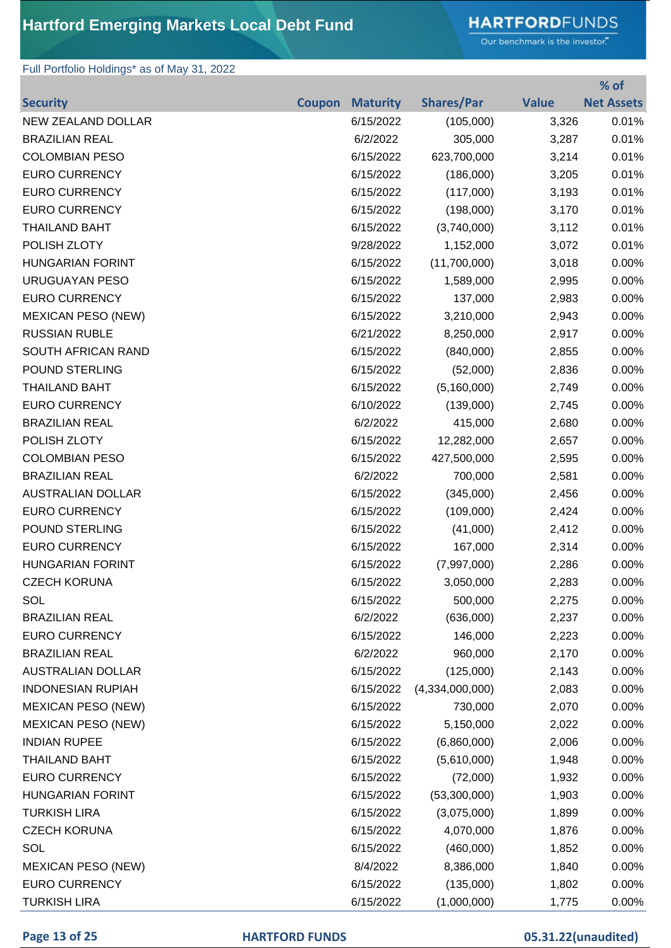# **HARTFORD**FUNDS

Our benchmark is the investor."

**% of** 

### Full Portfolio Holdings\* as of May 31, 2022

|                           |               |                 |                   |              | 70 OT             |
|---------------------------|---------------|-----------------|-------------------|--------------|-------------------|
| <b>Security</b>           | <b>Coupon</b> | <b>Maturity</b> | <b>Shares/Par</b> | <b>Value</b> | <b>Net Assets</b> |
| <b>NEW ZEALAND DOLLAR</b> |               | 6/15/2022       | (105,000)         | 3,326        | 0.01%             |
| <b>BRAZILIAN REAL</b>     |               | 6/2/2022        | 305,000           | 3,287        | 0.01%             |
| <b>COLOMBIAN PESO</b>     |               | 6/15/2022       | 623,700,000       | 3,214        | 0.01%             |
| <b>EURO CURRENCY</b>      |               | 6/15/2022       | (186,000)         | 3,205        | 0.01%             |
| <b>EURO CURRENCY</b>      |               | 6/15/2022       | (117,000)         | 3,193        | 0.01%             |
| <b>EURO CURRENCY</b>      |               | 6/15/2022       | (198,000)         | 3,170        | 0.01%             |
| <b>THAILAND BAHT</b>      |               | 6/15/2022       | (3,740,000)       | 3,112        | 0.01%             |
| POLISH ZLOTY              |               | 9/28/2022       | 1,152,000         | 3,072        | 0.01%             |
| <b>HUNGARIAN FORINT</b>   |               | 6/15/2022       | (11,700,000)      | 3,018        | 0.00%             |
| URUGUAYAN PESO            |               | 6/15/2022       | 1,589,000         | 2,995        | 0.00%             |
| <b>EURO CURRENCY</b>      |               | 6/15/2022       | 137,000           | 2,983        | 0.00%             |
| <b>MEXICAN PESO (NEW)</b> |               | 6/15/2022       | 3,210,000         | 2,943        | 0.00%             |
| <b>RUSSIAN RUBLE</b>      |               | 6/21/2022       | 8,250,000         | 2,917        | 0.00%             |
| SOUTH AFRICAN RAND        |               | 6/15/2022       | (840,000)         | 2,855        | 0.00%             |
| POUND STERLING            |               | 6/15/2022       | (52,000)          | 2,836        | 0.00%             |
| <b>THAILAND BAHT</b>      |               | 6/15/2022       | (5, 160, 000)     | 2,749        | 0.00%             |
| <b>EURO CURRENCY</b>      |               | 6/10/2022       | (139,000)         | 2,745        | 0.00%             |
| <b>BRAZILIAN REAL</b>     |               | 6/2/2022        | 415,000           | 2,680        | 0.00%             |
| POLISH ZLOTY              |               | 6/15/2022       | 12,282,000        | 2,657        | 0.00%             |
| <b>COLOMBIAN PESO</b>     |               | 6/15/2022       | 427,500,000       | 2,595        | 0.00%             |
| <b>BRAZILIAN REAL</b>     |               | 6/2/2022        | 700,000           | 2,581        | 0.00%             |
| <b>AUSTRALIAN DOLLAR</b>  |               | 6/15/2022       | (345,000)         | 2,456        | 0.00%             |
| <b>EURO CURRENCY</b>      |               | 6/15/2022       | (109,000)         | 2,424        | 0.00%             |
| POUND STERLING            |               | 6/15/2022       | (41,000)          | 2,412        | 0.00%             |
| <b>EURO CURRENCY</b>      |               | 6/15/2022       | 167,000           | 2,314        | 0.00%             |
| <b>HUNGARIAN FORINT</b>   |               | 6/15/2022       | (7,997,000)       | 2,286        | 0.00%             |
| <b>CZECH KORUNA</b>       |               | 6/15/2022       | 3,050,000         | 2,283        | 0.00%             |
| SOL                       |               | 6/15/2022       | 500,000           | 2,275        | 0.00%             |
| <b>BRAZILIAN REAL</b>     |               | 6/2/2022        | (636,000)         | 2,237        | 0.00%             |
| <b>EURO CURRENCY</b>      |               | 6/15/2022       | 146,000           | 2,223        | 0.00%             |
| <b>BRAZILIAN REAL</b>     |               | 6/2/2022        | 960,000           | 2,170        | 0.00%             |
| <b>AUSTRALIAN DOLLAR</b>  |               | 6/15/2022       | (125,000)         | 2,143        | 0.00%             |
| <b>INDONESIAN RUPIAH</b>  |               | 6/15/2022       | (4,334,000,000)   | 2,083        | 0.00%             |
| <b>MEXICAN PESO (NEW)</b> |               | 6/15/2022       | 730,000           | 2,070        | 0.00%             |
| <b>MEXICAN PESO (NEW)</b> |               | 6/15/2022       | 5,150,000         | 2,022        | 0.00%             |
| <b>INDIAN RUPEE</b>       |               | 6/15/2022       | (6,860,000)       | 2,006        | 0.00%             |
| <b>THAILAND BAHT</b>      |               | 6/15/2022       | (5,610,000)       | 1,948        | 0.00%             |
| <b>EURO CURRENCY</b>      |               | 6/15/2022       | (72,000)          | 1,932        | 0.00%             |
| <b>HUNGARIAN FORINT</b>   |               | 6/15/2022       | (53,300,000)      | 1,903        | 0.00%             |
| <b>TURKISH LIRA</b>       |               | 6/15/2022       | (3,075,000)       | 1,899        | 0.00%             |
| <b>CZECH KORUNA</b>       |               | 6/15/2022       | 4,070,000         | 1,876        | 0.00%             |
| SOL                       |               | 6/15/2022       | (460,000)         | 1,852        | 0.00%             |
| <b>MEXICAN PESO (NEW)</b> |               | 8/4/2022        | 8,386,000         | 1,840        | 0.00%             |
| <b>EURO CURRENCY</b>      |               | 6/15/2022       | (135,000)         | 1,802        | 0.00%             |
| <b>TURKISH LIRA</b>       |               | 6/15/2022       | (1,000,000)       | 1,775        | 0.00%             |

### **Page 13 of 25 HARTFORD FUNDS 05.31.22(unaudited)**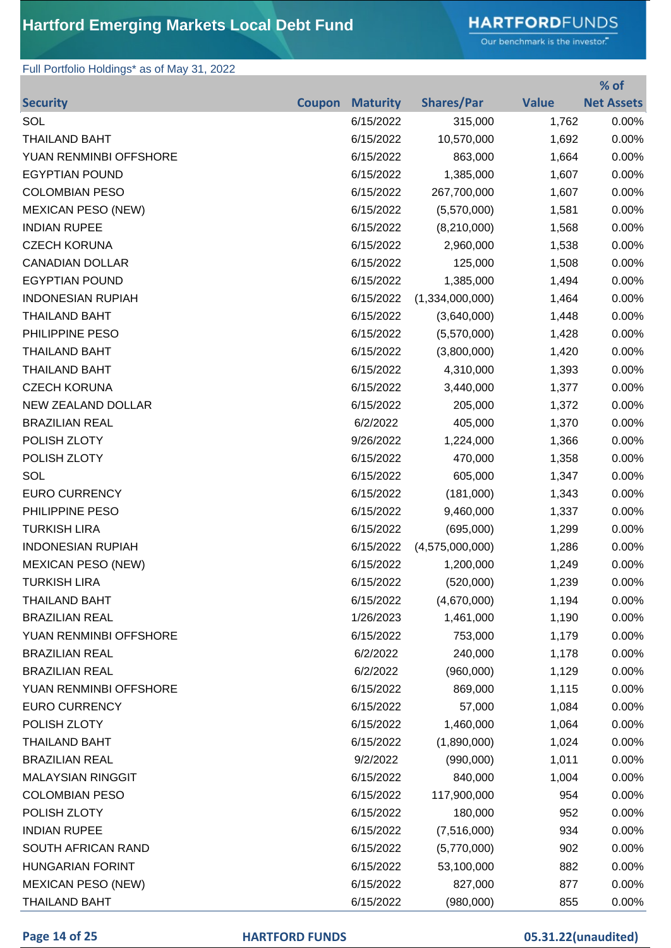# **HARTFORD**FUNDS

Our benchmark is the investor."

### Full Portfolio Holdings\* as of May 31, 2022

|                           |               |                 |                   |              | % of              |
|---------------------------|---------------|-----------------|-------------------|--------------|-------------------|
| <b>Security</b>           | <b>Coupon</b> | <b>Maturity</b> | <b>Shares/Par</b> | <b>Value</b> | <b>Net Assets</b> |
| SOL                       |               | 6/15/2022       | 315,000           | 1,762        | 0.00%             |
| <b>THAILAND BAHT</b>      |               | 6/15/2022       | 10,570,000        | 1,692        | 0.00%             |
| YUAN RENMINBI OFFSHORE    |               | 6/15/2022       | 863,000           | 1,664        | 0.00%             |
| <b>EGYPTIAN POUND</b>     |               | 6/15/2022       | 1,385,000         | 1,607        | 0.00%             |
| <b>COLOMBIAN PESO</b>     |               | 6/15/2022       | 267,700,000       | 1,607        | 0.00%             |
| <b>MEXICAN PESO (NEW)</b> |               | 6/15/2022       | (5,570,000)       | 1,581        | 0.00%             |
| <b>INDIAN RUPEE</b>       |               | 6/15/2022       | (8,210,000)       | 1,568        | 0.00%             |
| <b>CZECH KORUNA</b>       |               | 6/15/2022       | 2,960,000         | 1,538        | 0.00%             |
| <b>CANADIAN DOLLAR</b>    |               | 6/15/2022       | 125,000           | 1,508        | 0.00%             |
| <b>EGYPTIAN POUND</b>     |               | 6/15/2022       | 1,385,000         | 1,494        | 0.00%             |
| <b>INDONESIAN RUPIAH</b>  |               | 6/15/2022       | (1,334,000,000)   | 1,464        | 0.00%             |
| <b>THAILAND BAHT</b>      |               | 6/15/2022       | (3,640,000)       | 1,448        | 0.00%             |
| PHILIPPINE PESO           |               | 6/15/2022       | (5,570,000)       | 1,428        | 0.00%             |
| <b>THAILAND BAHT</b>      |               | 6/15/2022       | (3,800,000)       | 1,420        | 0.00%             |
| <b>THAILAND BAHT</b>      |               | 6/15/2022       | 4,310,000         | 1,393        | 0.00%             |
| <b>CZECH KORUNA</b>       |               | 6/15/2022       | 3,440,000         | 1,377        | 0.00%             |
| NEW ZEALAND DOLLAR        |               | 6/15/2022       | 205,000           | 1,372        | 0.00%             |
| <b>BRAZILIAN REAL</b>     |               | 6/2/2022        | 405,000           | 1,370        | 0.00%             |
| POLISH ZLOTY              |               | 9/26/2022       | 1,224,000         | 1,366        | 0.00%             |
| POLISH ZLOTY              |               | 6/15/2022       | 470,000           | 1,358        | 0.00%             |
| SOL                       |               | 6/15/2022       | 605,000           | 1,347        | 0.00%             |
| <b>EURO CURRENCY</b>      |               | 6/15/2022       | (181,000)         | 1,343        | 0.00%             |
| PHILIPPINE PESO           |               | 6/15/2022       | 9,460,000         | 1,337        | 0.00%             |
| <b>TURKISH LIRA</b>       |               | 6/15/2022       | (695,000)         | 1,299        | 0.00%             |
| <b>INDONESIAN RUPIAH</b>  |               | 6/15/2022       | (4,575,000,000)   | 1,286        | 0.00%             |
| <b>MEXICAN PESO (NEW)</b> |               | 6/15/2022       | 1,200,000         | 1,249        | 0.00%             |
| <b>TURKISH LIRA</b>       |               | 6/15/2022       | (520,000)         | 1,239        | 0.00%             |
| <b>THAILAND BAHT</b>      |               | 6/15/2022       | (4,670,000)       | 1,194        | 0.00%             |
| <b>BRAZILIAN REAL</b>     |               | 1/26/2023       | 1,461,000         | 1,190        | 0.00%             |
| YUAN RENMINBI OFFSHORE    |               | 6/15/2022       | 753,000           | 1,179        | 0.00%             |
| <b>BRAZILIAN REAL</b>     |               | 6/2/2022        | 240,000           | 1,178        | 0.00%             |
| <b>BRAZILIAN REAL</b>     |               | 6/2/2022        | (960,000)         | 1,129        | 0.00%             |
| YUAN RENMINBI OFFSHORE    |               | 6/15/2022       | 869,000           | 1,115        | 0.00%             |
| <b>EURO CURRENCY</b>      |               | 6/15/2022       | 57,000            | 1,084        | 0.00%             |
| POLISH ZLOTY              |               | 6/15/2022       | 1,460,000         | 1,064        | 0.00%             |
| <b>THAILAND BAHT</b>      |               | 6/15/2022       | (1,890,000)       | 1,024        | 0.00%             |
| <b>BRAZILIAN REAL</b>     |               | 9/2/2022        | (990,000)         | 1,011        | 0.00%             |
| <b>MALAYSIAN RINGGIT</b>  |               | 6/15/2022       | 840,000           | 1,004        | 0.00%             |
| <b>COLOMBIAN PESO</b>     |               | 6/15/2022       | 117,900,000       | 954          | 0.00%             |
| POLISH ZLOTY              |               | 6/15/2022       | 180,000           | 952          | 0.00%             |
| <b>INDIAN RUPEE</b>       |               | 6/15/2022       | (7,516,000)       | 934          | 0.00%             |
| SOUTH AFRICAN RAND        |               | 6/15/2022       | (5,770,000)       | 902          | 0.00%             |
| <b>HUNGARIAN FORINT</b>   |               | 6/15/2022       | 53,100,000        | 882          | 0.00%             |
| <b>MEXICAN PESO (NEW)</b> |               | 6/15/2022       | 827,000           | 877          | 0.00%             |
| <b>THAILAND BAHT</b>      |               | 6/15/2022       | (980,000)         | 855          | 0.00%             |

### **Page 14 of 25 HARTFORD FUNDS 05.31.22(unaudited)**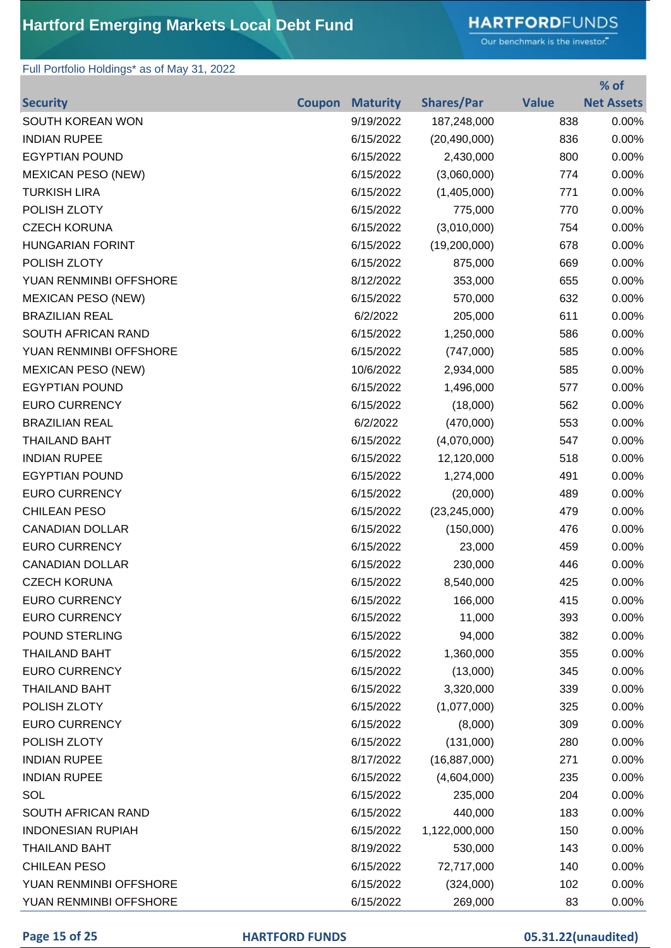# **HARTFORD**FUNDS

Our benchmark is the investor."

**% of** 

### Full Portfolio Holdings\* as of May 31, 2022

|                           |               |                 |                   |              | % OT              |
|---------------------------|---------------|-----------------|-------------------|--------------|-------------------|
| <b>Security</b>           | <b>Coupon</b> | <b>Maturity</b> | <b>Shares/Par</b> | <b>Value</b> | <b>Net Assets</b> |
| SOUTH KOREAN WON          |               | 9/19/2022       | 187,248,000       | 838          | 0.00%             |
| <b>INDIAN RUPEE</b>       |               | 6/15/2022       | (20, 490, 000)    | 836          | 0.00%             |
| <b>EGYPTIAN POUND</b>     |               | 6/15/2022       | 2,430,000         | 800          | 0.00%             |
| <b>MEXICAN PESO (NEW)</b> |               | 6/15/2022       | (3,060,000)       | 774          | 0.00%             |
| <b>TURKISH LIRA</b>       |               | 6/15/2022       | (1,405,000)       | 771          | 0.00%             |
| POLISH ZLOTY              |               | 6/15/2022       | 775,000           | 770          | 0.00%             |
| <b>CZECH KORUNA</b>       |               | 6/15/2022       | (3,010,000)       | 754          | 0.00%             |
| <b>HUNGARIAN FORINT</b>   |               | 6/15/2022       | (19,200,000)      | 678          | 0.00%             |
| POLISH ZLOTY              |               | 6/15/2022       | 875,000           | 669          | 0.00%             |
| YUAN RENMINBI OFFSHORE    |               | 8/12/2022       | 353,000           | 655          | 0.00%             |
| <b>MEXICAN PESO (NEW)</b> |               | 6/15/2022       | 570,000           | 632          | 0.00%             |
| <b>BRAZILIAN REAL</b>     |               | 6/2/2022        | 205,000           | 611          | 0.00%             |
| SOUTH AFRICAN RAND        |               | 6/15/2022       | 1,250,000         | 586          | 0.00%             |
| YUAN RENMINBI OFFSHORE    |               | 6/15/2022       | (747,000)         | 585          | 0.00%             |
| <b>MEXICAN PESO (NEW)</b> |               | 10/6/2022       | 2,934,000         | 585          | 0.00%             |
| <b>EGYPTIAN POUND</b>     |               | 6/15/2022       | 1,496,000         | 577          | 0.00%             |
| <b>EURO CURRENCY</b>      |               | 6/15/2022       | (18,000)          | 562          | 0.00%             |
| <b>BRAZILIAN REAL</b>     |               | 6/2/2022        | (470,000)         | 553          | 0.00%             |
| <b>THAILAND BAHT</b>      |               | 6/15/2022       | (4,070,000)       | 547          | 0.00%             |
| <b>INDIAN RUPEE</b>       |               | 6/15/2022       | 12,120,000        | 518          | 0.00%             |
| <b>EGYPTIAN POUND</b>     |               | 6/15/2022       | 1,274,000         | 491          | 0.00%             |
| <b>EURO CURRENCY</b>      |               | 6/15/2022       | (20,000)          | 489          | 0.00%             |
| <b>CHILEAN PESO</b>       |               | 6/15/2022       | (23, 245, 000)    | 479          | 0.00%             |
| <b>CANADIAN DOLLAR</b>    |               | 6/15/2022       | (150,000)         | 476          | 0.00%             |
| <b>EURO CURRENCY</b>      |               | 6/15/2022       | 23,000            | 459          | 0.00%             |
| <b>CANADIAN DOLLAR</b>    |               | 6/15/2022       | 230,000           | 446          | 0.00%             |
| <b>CZECH KORUNA</b>       |               | 6/15/2022       | 8,540,000         | 425          | 0.00%             |
| <b>EURO CURRENCY</b>      |               | 6/15/2022       | 166,000           | 415          | 0.00%             |
| <b>EURO CURRENCY</b>      |               | 6/15/2022       | 11,000            | 393          | 0.00%             |
| POUND STERLING            |               | 6/15/2022       | 94,000            | 382          | 0.00%             |
| <b>THAILAND BAHT</b>      |               | 6/15/2022       | 1,360,000         | 355          | 0.00%             |
| <b>EURO CURRENCY</b>      |               | 6/15/2022       | (13,000)          | 345          | 0.00%             |
| <b>THAILAND BAHT</b>      |               | 6/15/2022       | 3,320,000         | 339          | 0.00%             |
| POLISH ZLOTY              |               | 6/15/2022       | (1,077,000)       | 325          | 0.00%             |
| <b>EURO CURRENCY</b>      |               | 6/15/2022       | (8,000)           | 309          | 0.00%             |
| POLISH ZLOTY              |               | 6/15/2022       | (131,000)         | 280          | 0.00%             |
| <b>INDIAN RUPEE</b>       |               | 8/17/2022       | (16, 887, 000)    | 271          | 0.00%             |
| <b>INDIAN RUPEE</b>       |               | 6/15/2022       | (4,604,000)       | 235          | 0.00%             |
| SOL                       |               | 6/15/2022       | 235,000           | 204          | 0.00%             |
| SOUTH AFRICAN RAND        |               | 6/15/2022       | 440,000           | 183          | 0.00%             |
| <b>INDONESIAN RUPIAH</b>  |               | 6/15/2022       | 1,122,000,000     | 150          | 0.00%             |
| <b>THAILAND BAHT</b>      |               | 8/19/2022       | 530,000           | 143          | 0.00%             |
| <b>CHILEAN PESO</b>       |               | 6/15/2022       | 72,717,000        | 140          | 0.00%             |
| YUAN RENMINBI OFFSHORE    |               | 6/15/2022       | (324,000)         | 102          | 0.00%             |
| YUAN RENMINBI OFFSHORE    |               | 6/15/2022       | 269,000           | 83           | 0.00%             |

**Page 15 of 25 HARTFORD FUNDS 05.31.22(unaudited)**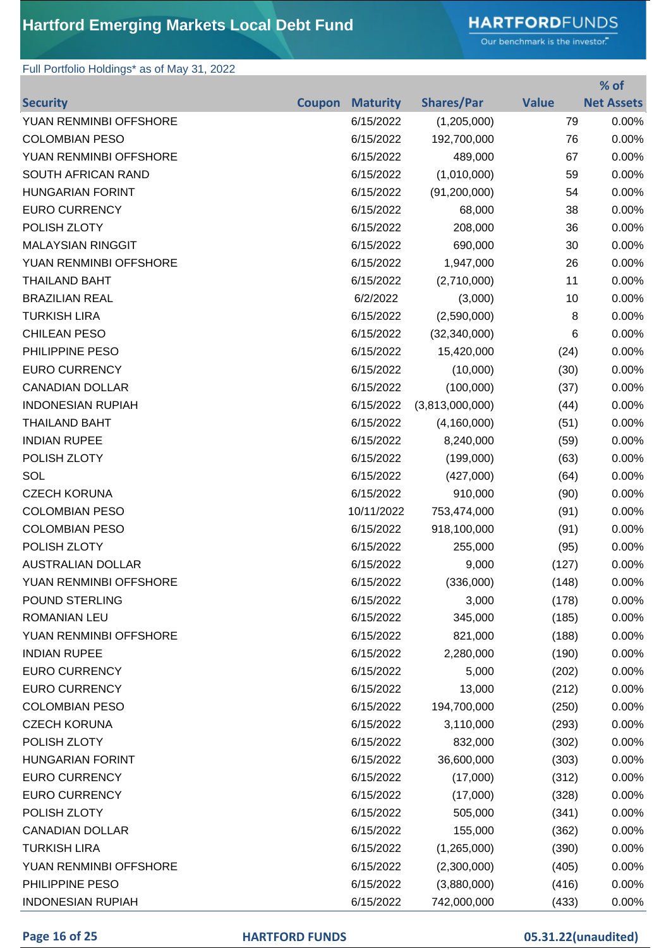# **HARTFORD**FUNDS

Our benchmark is the investor."

**% of** 

### Full Portfolio Holdings\* as of May 31, 2022

|                          |               |                 |                   |              | 70 OT             |
|--------------------------|---------------|-----------------|-------------------|--------------|-------------------|
| <b>Security</b>          | <b>Coupon</b> | <b>Maturity</b> | <b>Shares/Par</b> | <b>Value</b> | <b>Net Assets</b> |
| YUAN RENMINBI OFFSHORE   |               | 6/15/2022       | (1,205,000)       | 79           | 0.00%             |
| <b>COLOMBIAN PESO</b>    |               | 6/15/2022       | 192,700,000       | 76           | 0.00%             |
| YUAN RENMINBI OFFSHORE   |               | 6/15/2022       | 489,000           | 67           | 0.00%             |
| SOUTH AFRICAN RAND       |               | 6/15/2022       | (1,010,000)       | 59           | 0.00%             |
| <b>HUNGARIAN FORINT</b>  |               | 6/15/2022       | (91, 200, 000)    | 54           | 0.00%             |
| <b>EURO CURRENCY</b>     |               | 6/15/2022       | 68,000            | 38           | 0.00%             |
| POLISH ZLOTY             |               | 6/15/2022       | 208,000           | 36           | 0.00%             |
| <b>MALAYSIAN RINGGIT</b> |               | 6/15/2022       | 690,000           | 30           | 0.00%             |
| YUAN RENMINBI OFFSHORE   |               | 6/15/2022       | 1,947,000         | 26           | 0.00%             |
| <b>THAILAND BAHT</b>     |               | 6/15/2022       | (2,710,000)       | 11           | 0.00%             |
| <b>BRAZILIAN REAL</b>    |               | 6/2/2022        | (3,000)           | 10           | 0.00%             |
| <b>TURKISH LIRA</b>      |               | 6/15/2022       | (2,590,000)       | 8            | 0.00%             |
| <b>CHILEAN PESO</b>      |               | 6/15/2022       | (32, 340, 000)    | 6            | 0.00%             |
| PHILIPPINE PESO          |               | 6/15/2022       | 15,420,000        | (24)         | 0.00%             |
| <b>EURO CURRENCY</b>     |               | 6/15/2022       | (10,000)          | (30)         | 0.00%             |
| <b>CANADIAN DOLLAR</b>   |               | 6/15/2022       | (100,000)         | (37)         | 0.00%             |
| <b>INDONESIAN RUPIAH</b> |               | 6/15/2022       | (3,813,000,000)   | (44)         | 0.00%             |
| <b>THAILAND BAHT</b>     |               | 6/15/2022       | (4, 160, 000)     | (51)         | 0.00%             |
| <b>INDIAN RUPEE</b>      |               | 6/15/2022       | 8,240,000         | (59)         | 0.00%             |
| POLISH ZLOTY             |               | 6/15/2022       | (199,000)         | (63)         | 0.00%             |
| SOL                      |               | 6/15/2022       | (427,000)         | (64)         | 0.00%             |
| <b>CZECH KORUNA</b>      |               | 6/15/2022       | 910,000           | (90)         | 0.00%             |
| <b>COLOMBIAN PESO</b>    |               | 10/11/2022      | 753,474,000       | (91)         | 0.00%             |
| <b>COLOMBIAN PESO</b>    |               | 6/15/2022       | 918,100,000       | (91)         | 0.00%             |
| POLISH ZLOTY             |               | 6/15/2022       | 255,000           | (95)         | 0.00%             |
| <b>AUSTRALIAN DOLLAR</b> |               | 6/15/2022       | 9,000             | (127)        | 0.00%             |
| YUAN RENMINBI OFFSHORE   |               | 6/15/2022       | (336,000)         | (148)        | 0.00%             |
| <b>POUND STERLING</b>    |               | 6/15/2022       | 3,000             | (178)        | 0.00%             |
| <b>ROMANIAN LEU</b>      |               | 6/15/2022       | 345,000           | (185)        | 0.00%             |
| YUAN RENMINBI OFFSHORE   |               | 6/15/2022       | 821,000           | (188)        | 0.00%             |
| <b>INDIAN RUPEE</b>      |               | 6/15/2022       | 2,280,000         | (190)        | 0.00%             |
| <b>EURO CURRENCY</b>     |               | 6/15/2022       | 5,000             | (202)        | 0.00%             |
| <b>EURO CURRENCY</b>     |               | 6/15/2022       | 13,000            | (212)        | 0.00%             |
| <b>COLOMBIAN PESO</b>    |               | 6/15/2022       | 194,700,000       | (250)        | 0.00%             |
| <b>CZECH KORUNA</b>      |               | 6/15/2022       | 3,110,000         | (293)        | 0.00%             |
| POLISH ZLOTY             |               | 6/15/2022       | 832,000           | (302)        | 0.00%             |
| <b>HUNGARIAN FORINT</b>  |               | 6/15/2022       | 36,600,000        | (303)        | 0.00%             |
| <b>EURO CURRENCY</b>     |               | 6/15/2022       | (17,000)          | (312)        | 0.00%             |
| <b>EURO CURRENCY</b>     |               | 6/15/2022       | (17,000)          | (328)        | 0.00%             |
| POLISH ZLOTY             |               | 6/15/2022       | 505,000           | (341)        | 0.00%             |
| <b>CANADIAN DOLLAR</b>   |               | 6/15/2022       | 155,000           | (362)        | 0.00%             |
| <b>TURKISH LIRA</b>      |               | 6/15/2022       | (1,265,000)       | (390)        | 0.00%             |
| YUAN RENMINBI OFFSHORE   |               | 6/15/2022       | (2,300,000)       | (405)        | 0.00%             |
| PHILIPPINE PESO          |               | 6/15/2022       | (3,880,000)       | (416)        | 0.00%             |
| <b>INDONESIAN RUPIAH</b> |               | 6/15/2022       | 742,000,000       | (433)        | 0.00%             |

### **Page 16 of 25 HARTFORD FUNDS 05.31.22(unaudited)**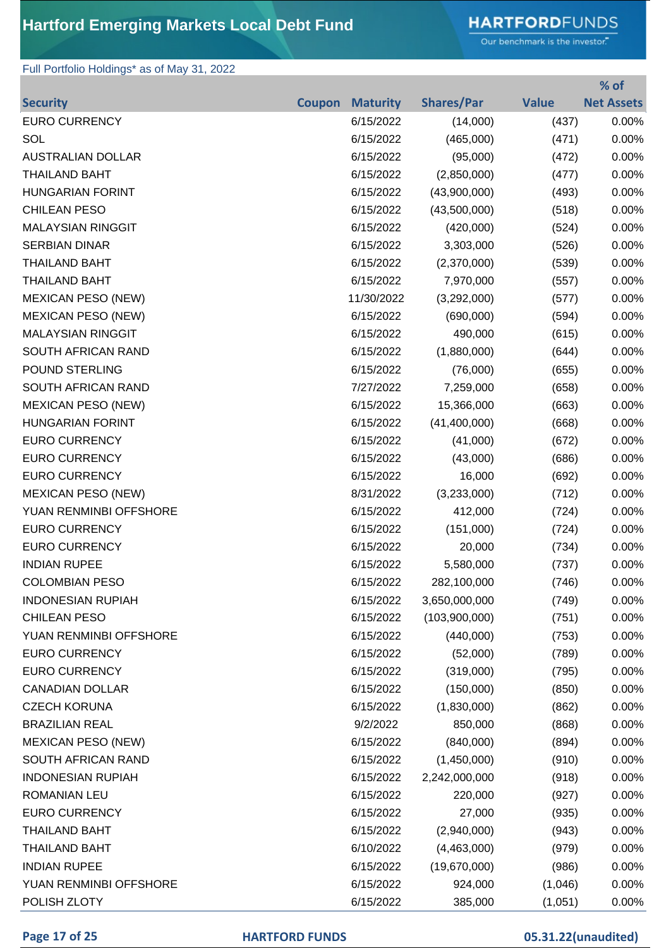# **HARTFORD**FUNDS

Our benchmark is the investor."

### Full Portfolio Holdings\* as of May 31, 2022

|                           |               |                 |                   |              | % of              |
|---------------------------|---------------|-----------------|-------------------|--------------|-------------------|
| <b>Security</b>           | <b>Coupon</b> | <b>Maturity</b> | <b>Shares/Par</b> | <b>Value</b> | <b>Net Assets</b> |
| <b>EURO CURRENCY</b>      |               | 6/15/2022       | (14,000)          | (437)        | 0.00%             |
| SOL                       |               | 6/15/2022       | (465,000)         | (471)        | 0.00%             |
| <b>AUSTRALIAN DOLLAR</b>  |               | 6/15/2022       | (95,000)          | (472)        | 0.00%             |
| <b>THAILAND BAHT</b>      |               | 6/15/2022       | (2,850,000)       | (477)        | 0.00%             |
| <b>HUNGARIAN FORINT</b>   |               | 6/15/2022       | (43,900,000)      | (493)        | 0.00%             |
| <b>CHILEAN PESO</b>       |               | 6/15/2022       | (43,500,000)      | (518)        | 0.00%             |
| <b>MALAYSIAN RINGGIT</b>  |               | 6/15/2022       | (420,000)         | (524)        | 0.00%             |
| <b>SERBIAN DINAR</b>      |               | 6/15/2022       | 3,303,000         | (526)        | 0.00%             |
| <b>THAILAND BAHT</b>      |               | 6/15/2022       | (2,370,000)       | (539)        | 0.00%             |
| <b>THAILAND BAHT</b>      |               | 6/15/2022       | 7,970,000         | (557)        | 0.00%             |
| <b>MEXICAN PESO (NEW)</b> |               | 11/30/2022      | (3,292,000)       | (577)        | 0.00%             |
| <b>MEXICAN PESO (NEW)</b> |               | 6/15/2022       | (690,000)         | (594)        | 0.00%             |
| <b>MALAYSIAN RINGGIT</b>  |               | 6/15/2022       | 490,000           | (615)        | 0.00%             |
| SOUTH AFRICAN RAND        |               | 6/15/2022       | (1,880,000)       | (644)        | 0.00%             |
| POUND STERLING            |               | 6/15/2022       | (76,000)          | (655)        | 0.00%             |
| SOUTH AFRICAN RAND        |               | 7/27/2022       | 7,259,000         | (658)        | 0.00%             |
| <b>MEXICAN PESO (NEW)</b> |               | 6/15/2022       | 15,366,000        | (663)        | 0.00%             |
| <b>HUNGARIAN FORINT</b>   |               | 6/15/2022       | (41, 400, 000)    | (668)        | 0.00%             |
| <b>EURO CURRENCY</b>      |               | 6/15/2022       | (41,000)          | (672)        | 0.00%             |
| <b>EURO CURRENCY</b>      |               | 6/15/2022       | (43,000)          | (686)        | 0.00%             |
| <b>EURO CURRENCY</b>      |               | 6/15/2022       | 16,000            | (692)        | 0.00%             |
| <b>MEXICAN PESO (NEW)</b> |               | 8/31/2022       | (3,233,000)       | (712)        | 0.00%             |
| YUAN RENMINBI OFFSHORE    |               | 6/15/2022       | 412,000           | (724)        | 0.00%             |
| <b>EURO CURRENCY</b>      |               | 6/15/2022       | (151,000)         | (724)        | 0.00%             |
| <b>EURO CURRENCY</b>      |               | 6/15/2022       | 20,000            | (734)        | 0.00%             |
| <b>INDIAN RUPEE</b>       |               | 6/15/2022       | 5,580,000         | (737)        | 0.00%             |
| <b>COLOMBIAN PESO</b>     |               | 6/15/2022       | 282,100,000       | (746)        | 0.00%             |
| <b>INDONESIAN RUPIAH</b>  |               | 6/15/2022       | 3,650,000,000     | (749)        | 0.00%             |
| <b>CHILEAN PESO</b>       |               | 6/15/2022       | (103,900,000)     | (751)        | 0.00%             |
| YUAN RENMINBI OFFSHORE    |               | 6/15/2022       | (440,000)         | (753)        | 0.00%             |
| <b>EURO CURRENCY</b>      |               | 6/15/2022       | (52,000)          | (789)        | 0.00%             |
| <b>EURO CURRENCY</b>      |               | 6/15/2022       | (319,000)         | (795)        | 0.00%             |
| <b>CANADIAN DOLLAR</b>    |               | 6/15/2022       | (150,000)         | (850)        | 0.00%             |
| <b>CZECH KORUNA</b>       |               | 6/15/2022       | (1,830,000)       | (862)        | 0.00%             |
| <b>BRAZILIAN REAL</b>     |               | 9/2/2022        | 850,000           | (868)        | 0.00%             |
| <b>MEXICAN PESO (NEW)</b> |               | 6/15/2022       | (840,000)         | (894)        | 0.00%             |
| SOUTH AFRICAN RAND        |               | 6/15/2022       | (1,450,000)       | (910)        | 0.00%             |
| <b>INDONESIAN RUPIAH</b>  |               | 6/15/2022       | 2,242,000,000     | (918)        | 0.00%             |
| ROMANIAN LEU              |               | 6/15/2022       | 220,000           | (927)        | 0.00%             |
| <b>EURO CURRENCY</b>      |               | 6/15/2022       | 27,000            | (935)        | 0.00%             |
| <b>THAILAND BAHT</b>      |               | 6/15/2022       | (2,940,000)       | (943)        | 0.00%             |
| <b>THAILAND BAHT</b>      |               | 6/10/2022       | (4,463,000)       | (979)        | 0.00%             |
| <b>INDIAN RUPEE</b>       |               | 6/15/2022       | (19,670,000)      | (986)        | 0.00%             |
| YUAN RENMINBI OFFSHORE    |               | 6/15/2022       | 924,000           | (1,046)      | 0.00%             |
| POLISH ZLOTY              |               | 6/15/2022       | 385,000           | (1,051)      | 0.00%             |

### **Page 17 of 25 HARTFORD FUNDS 05.31.22(unaudited)**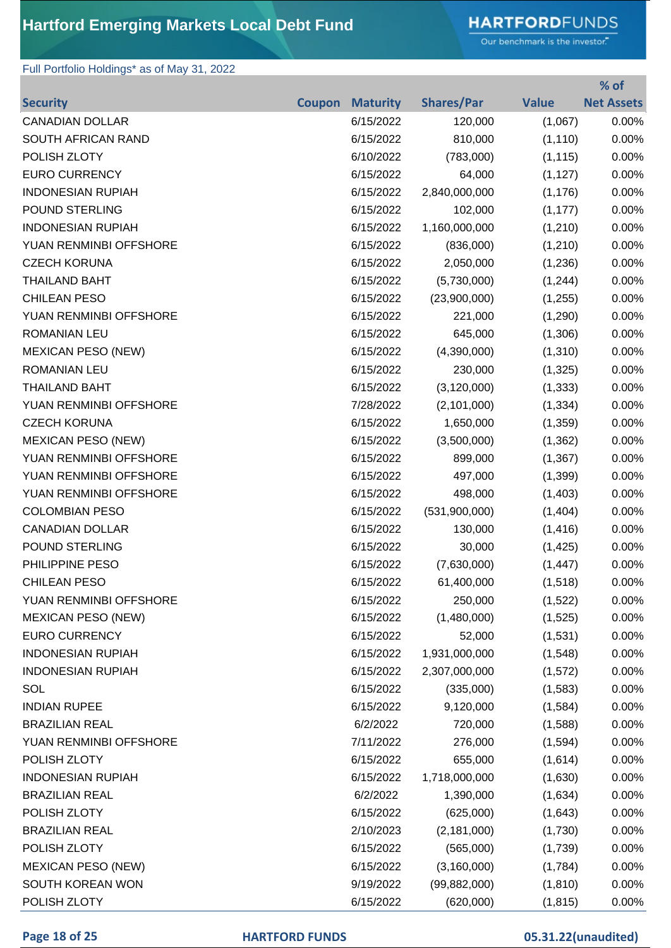# **HARTFORD**FUNDS

Our benchmark is the investor."

**% of** 

### Full Portfolio Holdings\* as of May 31, 2022

|                           |               |                 |                   |              | % OT              |
|---------------------------|---------------|-----------------|-------------------|--------------|-------------------|
| <b>Security</b>           | <b>Coupon</b> | <b>Maturity</b> | <b>Shares/Par</b> | <b>Value</b> | <b>Net Assets</b> |
| <b>CANADIAN DOLLAR</b>    |               | 6/15/2022       | 120,000           | (1,067)      | 0.00%             |
| SOUTH AFRICAN RAND        |               | 6/15/2022       | 810,000           | (1, 110)     | 0.00%             |
| POLISH ZLOTY              |               | 6/10/2022       | (783,000)         | (1, 115)     | 0.00%             |
| <b>EURO CURRENCY</b>      |               | 6/15/2022       | 64,000            | (1, 127)     | 0.00%             |
| <b>INDONESIAN RUPIAH</b>  |               | 6/15/2022       | 2,840,000,000     | (1, 176)     | 0.00%             |
| <b>POUND STERLING</b>     |               | 6/15/2022       | 102,000           | (1, 177)     | 0.00%             |
| <b>INDONESIAN RUPIAH</b>  |               | 6/15/2022       | 1,160,000,000     | (1,210)      | 0.00%             |
| YUAN RENMINBI OFFSHORE    |               | 6/15/2022       | (836,000)         | (1,210)      | 0.00%             |
| <b>CZECH KORUNA</b>       |               | 6/15/2022       | 2,050,000         | (1,236)      | 0.00%             |
| <b>THAILAND BAHT</b>      |               | 6/15/2022       | (5,730,000)       | (1,244)      | 0.00%             |
| <b>CHILEAN PESO</b>       |               | 6/15/2022       | (23,900,000)      | (1,255)      | 0.00%             |
| YUAN RENMINBI OFFSHORE    |               | 6/15/2022       | 221,000           | (1,290)      | 0.00%             |
| ROMANIAN LEU              |               | 6/15/2022       | 645,000           | (1,306)      | 0.00%             |
| <b>MEXICAN PESO (NEW)</b> |               | 6/15/2022       | (4,390,000)       | (1,310)      | 0.00%             |
| <b>ROMANIAN LEU</b>       |               | 6/15/2022       | 230,000           | (1, 325)     | 0.00%             |
| <b>THAILAND BAHT</b>      |               | 6/15/2022       | (3, 120, 000)     | (1, 333)     | 0.00%             |
| YUAN RENMINBI OFFSHORE    |               | 7/28/2022       | (2,101,000)       | (1, 334)     | 0.00%             |
| <b>CZECH KORUNA</b>       |               | 6/15/2022       | 1,650,000         | (1,359)      | 0.00%             |
| <b>MEXICAN PESO (NEW)</b> |               | 6/15/2022       | (3,500,000)       | (1, 362)     | 0.00%             |
| YUAN RENMINBI OFFSHORE    |               | 6/15/2022       | 899,000           | (1, 367)     | 0.00%             |
| YUAN RENMINBI OFFSHORE    |               | 6/15/2022       | 497,000           | (1,399)      | 0.00%             |
| YUAN RENMINBI OFFSHORE    |               | 6/15/2022       | 498,000           | (1,403)      | 0.00%             |
| <b>COLOMBIAN PESO</b>     |               | 6/15/2022       | (531,900,000)     | (1,404)      | 0.00%             |
| <b>CANADIAN DOLLAR</b>    |               | 6/15/2022       | 130,000           | (1, 416)     | 0.00%             |
| POUND STERLING            |               | 6/15/2022       | 30,000            | (1, 425)     | 0.00%             |
| PHILIPPINE PESO           |               | 6/15/2022       | (7,630,000)       | (1, 447)     | 0.00%             |
| <b>CHILEAN PESO</b>       |               | 6/15/2022       | 61,400,000        | (1,518)      | 0.00%             |
| YUAN RENMINBI OFFSHORE    |               | 6/15/2022       | 250,000           | (1,522)      | 0.00%             |
| <b>MEXICAN PESO (NEW)</b> |               | 6/15/2022       | (1,480,000)       | (1,525)      | 0.00%             |
| <b>EURO CURRENCY</b>      |               | 6/15/2022       | 52,000            | (1,531)      | 0.00%             |
| <b>INDONESIAN RUPIAH</b>  |               | 6/15/2022       | 1,931,000,000     | (1,548)      | 0.00%             |
| <b>INDONESIAN RUPIAH</b>  |               | 6/15/2022       | 2,307,000,000     | (1, 572)     | 0.00%             |
| SOL                       |               | 6/15/2022       | (335,000)         | (1,583)      | 0.00%             |
| <b>INDIAN RUPEE</b>       |               | 6/15/2022       | 9,120,000         | (1,584)      | 0.00%             |
| <b>BRAZILIAN REAL</b>     |               | 6/2/2022        | 720,000           | (1,588)      | 0.00%             |
| YUAN RENMINBI OFFSHORE    |               | 7/11/2022       | 276,000           | (1,594)      | 0.00%             |
| POLISH ZLOTY              |               | 6/15/2022       | 655,000           | (1,614)      | 0.00%             |
| <b>INDONESIAN RUPIAH</b>  |               | 6/15/2022       | 1,718,000,000     | (1,630)      | 0.00%             |
| <b>BRAZILIAN REAL</b>     |               | 6/2/2022        | 1,390,000         | (1,634)      | 0.00%             |
| POLISH ZLOTY              |               | 6/15/2022       | (625,000)         | (1,643)      | 0.00%             |
| <b>BRAZILIAN REAL</b>     |               | 2/10/2023       | (2, 181, 000)     | (1,730)      | 0.00%             |
| POLISH ZLOTY              |               | 6/15/2022       | (565,000)         | (1,739)      | 0.00%             |
| <b>MEXICAN PESO (NEW)</b> |               | 6/15/2022       | (3,160,000)       | (1,784)      | 0.00%             |
| SOUTH KOREAN WON          |               | 9/19/2022       | (99, 882, 000)    | (1, 810)     | 0.00%             |
| POLISH ZLOTY              |               | 6/15/2022       | (620,000)         | (1, 815)     | 0.00%             |

### **Page 18 of 25 HARTFORD FUNDS 05.31.22(unaudited)**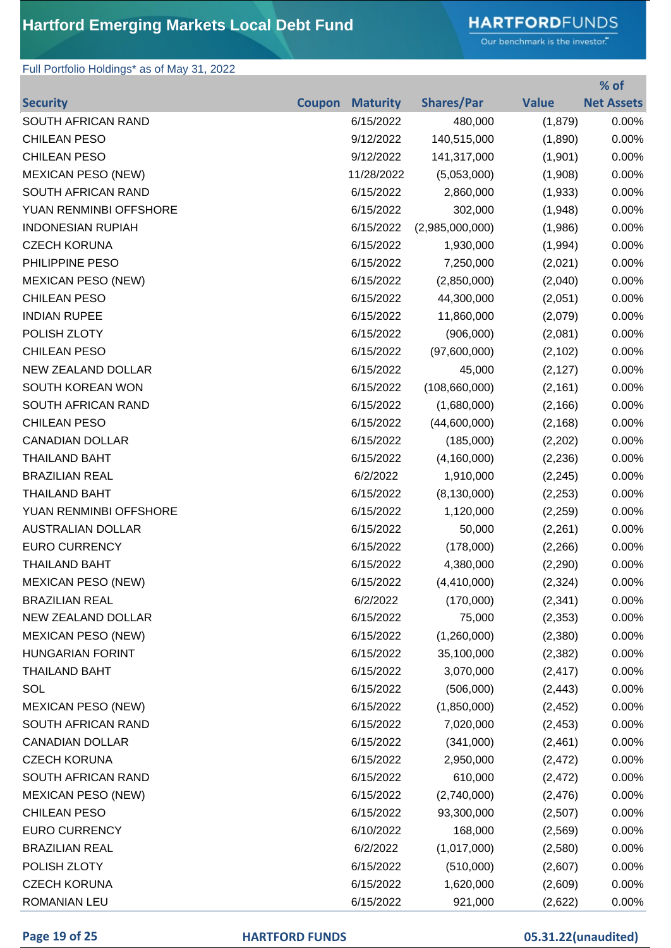# **HARTFORD**FUNDS

Our benchmark is the investor."

### Full Portfolio Holdings\* as of May 31, 2022

|                           |               |                 |                   |              | % of              |
|---------------------------|---------------|-----------------|-------------------|--------------|-------------------|
| <b>Security</b>           | <b>Coupon</b> | <b>Maturity</b> | <b>Shares/Par</b> | <b>Value</b> | <b>Net Assets</b> |
| SOUTH AFRICAN RAND        |               | 6/15/2022       | 480,000           | (1,879)      | 0.00%             |
| <b>CHILEAN PESO</b>       |               | 9/12/2022       | 140,515,000       | (1,890)      | 0.00%             |
| <b>CHILEAN PESO</b>       |               | 9/12/2022       | 141,317,000       | (1,901)      | 0.00%             |
| <b>MEXICAN PESO (NEW)</b> |               | 11/28/2022      | (5,053,000)       | (1,908)      | 0.00%             |
| SOUTH AFRICAN RAND        |               | 6/15/2022       | 2,860,000         | (1,933)      | 0.00%             |
| YUAN RENMINBI OFFSHORE    |               | 6/15/2022       | 302,000           | (1,948)      | 0.00%             |
| <b>INDONESIAN RUPIAH</b>  |               | 6/15/2022       | (2,985,000,000)   | (1,986)      | 0.00%             |
| <b>CZECH KORUNA</b>       |               | 6/15/2022       | 1,930,000         | (1,994)      | 0.00%             |
| PHILIPPINE PESO           |               | 6/15/2022       | 7,250,000         | (2,021)      | 0.00%             |
| <b>MEXICAN PESO (NEW)</b> |               | 6/15/2022       | (2,850,000)       | (2,040)      | 0.00%             |
| <b>CHILEAN PESO</b>       |               | 6/15/2022       | 44,300,000        | (2,051)      | 0.00%             |
| <b>INDIAN RUPEE</b>       |               | 6/15/2022       | 11,860,000        | (2,079)      | 0.00%             |
| POLISH ZLOTY              |               | 6/15/2022       | (906,000)         | (2,081)      | 0.00%             |
| <b>CHILEAN PESO</b>       |               | 6/15/2022       | (97,600,000)      | (2, 102)     | 0.00%             |
| NEW ZEALAND DOLLAR        |               | 6/15/2022       | 45,000            | (2, 127)     | 0.00%             |
| SOUTH KOREAN WON          |               | 6/15/2022       | (108, 660, 000)   | (2, 161)     | 0.00%             |
| SOUTH AFRICAN RAND        |               | 6/15/2022       | (1,680,000)       | (2, 166)     | 0.00%             |
| <b>CHILEAN PESO</b>       |               | 6/15/2022       | (44,600,000)      | (2, 168)     | 0.00%             |
| <b>CANADIAN DOLLAR</b>    |               | 6/15/2022       | (185,000)         | (2,202)      | 0.00%             |
| <b>THAILAND BAHT</b>      |               | 6/15/2022       | (4, 160, 000)     | (2, 236)     | 0.00%             |
| <b>BRAZILIAN REAL</b>     |               | 6/2/2022        | 1,910,000         | (2, 245)     | 0.00%             |
| <b>THAILAND BAHT</b>      |               | 6/15/2022       | (8, 130, 000)     | (2, 253)     | 0.00%             |
| YUAN RENMINBI OFFSHORE    |               | 6/15/2022       | 1,120,000         | (2,259)      | 0.00%             |
| <b>AUSTRALIAN DOLLAR</b>  |               | 6/15/2022       | 50,000            | (2,261)      | 0.00%             |
| <b>EURO CURRENCY</b>      |               | 6/15/2022       | (178,000)         | (2, 266)     | 0.00%             |
| <b>THAILAND BAHT</b>      |               | 6/15/2022       | 4,380,000         | (2,290)      | 0.00%             |
| <b>MEXICAN PESO (NEW)</b> |               | 6/15/2022       | (4,410,000)       | (2, 324)     | 0.00%             |
| <b>BRAZILIAN REAL</b>     |               | 6/2/2022        | (170,000)         | (2, 341)     | 0.00%             |
| NEW ZEALAND DOLLAR        |               | 6/15/2022       | 75,000            | (2,353)      | 0.00%             |
| <b>MEXICAN PESO (NEW)</b> |               | 6/15/2022       | (1,260,000)       | (2,380)      | 0.00%             |
| <b>HUNGARIAN FORINT</b>   |               | 6/15/2022       | 35,100,000        | (2, 382)     | 0.00%             |
| <b>THAILAND BAHT</b>      |               | 6/15/2022       | 3,070,000         | (2, 417)     | 0.00%             |
| SOL                       |               | 6/15/2022       | (506,000)         | (2, 443)     | 0.00%             |
| <b>MEXICAN PESO (NEW)</b> |               | 6/15/2022       | (1,850,000)       | (2, 452)     | 0.00%             |
| SOUTH AFRICAN RAND        |               | 6/15/2022       | 7,020,000         | (2, 453)     | 0.00%             |
| <b>CANADIAN DOLLAR</b>    |               | 6/15/2022       | (341,000)         | (2,461)      | 0.00%             |
| <b>CZECH KORUNA</b>       |               | 6/15/2022       | 2,950,000         | (2, 472)     | 0.00%             |
| SOUTH AFRICAN RAND        |               | 6/15/2022       | 610,000           | (2, 472)     | 0.00%             |
| <b>MEXICAN PESO (NEW)</b> |               | 6/15/2022       | (2,740,000)       | (2, 476)     | 0.00%             |
| <b>CHILEAN PESO</b>       |               | 6/15/2022       | 93,300,000        | (2,507)      | 0.00%             |
| <b>EURO CURRENCY</b>      |               | 6/10/2022       | 168,000           | (2, 569)     | 0.00%             |
| <b>BRAZILIAN REAL</b>     |               | 6/2/2022        | (1,017,000)       | (2,580)      | 0.00%             |
| POLISH ZLOTY              |               | 6/15/2022       | (510,000)         | (2,607)      | 0.00%             |
| <b>CZECH KORUNA</b>       |               | 6/15/2022       | 1,620,000         | (2,609)      | 0.00%             |
| <b>ROMANIAN LEU</b>       |               | 6/15/2022       | 921,000           | (2,622)      | 0.00%             |

### **Page 19 of 25 HARTFORD FUNDS 05.31.22(unaudited)**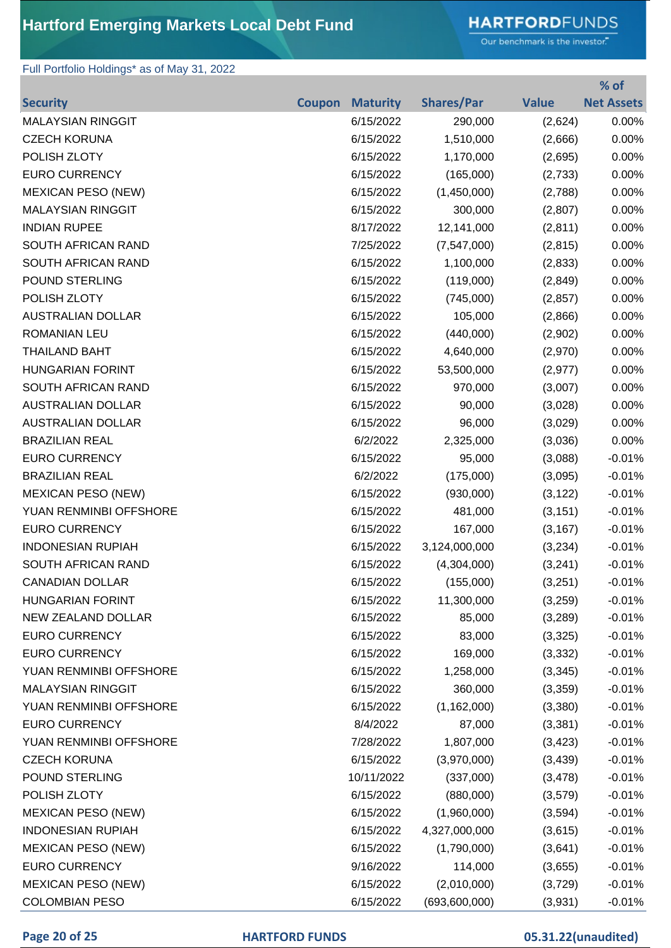# **HARTFORD**FUNDS

Our benchmark is the investor."

**% of** 

### Full Portfolio Holdings\* as of May 31, 2022

|                           |               |                 |                   |              | 70 OT             |
|---------------------------|---------------|-----------------|-------------------|--------------|-------------------|
| <b>Security</b>           | <b>Coupon</b> | <b>Maturity</b> | <b>Shares/Par</b> | <b>Value</b> | <b>Net Assets</b> |
| <b>MALAYSIAN RINGGIT</b>  |               | 6/15/2022       | 290,000           | (2,624)      | 0.00%             |
| <b>CZECH KORUNA</b>       |               | 6/15/2022       | 1,510,000         | (2,666)      | 0.00%             |
| POLISH ZLOTY              |               | 6/15/2022       | 1,170,000         | (2,695)      | 0.00%             |
| <b>EURO CURRENCY</b>      |               | 6/15/2022       | (165,000)         | (2,733)      | 0.00%             |
| <b>MEXICAN PESO (NEW)</b> |               | 6/15/2022       | (1,450,000)       | (2,788)      | 0.00%             |
| <b>MALAYSIAN RINGGIT</b>  |               | 6/15/2022       | 300,000           | (2,807)      | 0.00%             |
| <b>INDIAN RUPEE</b>       |               | 8/17/2022       | 12,141,000        | (2,811)      | 0.00%             |
| SOUTH AFRICAN RAND        |               | 7/25/2022       | (7, 547, 000)     | (2, 815)     | 0.00%             |
| SOUTH AFRICAN RAND        |               | 6/15/2022       | 1,100,000         | (2,833)      | 0.00%             |
| POUND STERLING            |               | 6/15/2022       | (119,000)         | (2,849)      | 0.00%             |
| POLISH ZLOTY              |               | 6/15/2022       | (745,000)         | (2, 857)     | 0.00%             |
| <b>AUSTRALIAN DOLLAR</b>  |               | 6/15/2022       | 105,000           | (2,866)      | 0.00%             |
| <b>ROMANIAN LEU</b>       |               | 6/15/2022       | (440,000)         | (2,902)      | 0.00%             |
| <b>THAILAND BAHT</b>      |               | 6/15/2022       | 4,640,000         | (2,970)      | 0.00%             |
| <b>HUNGARIAN FORINT</b>   |               | 6/15/2022       | 53,500,000        | (2, 977)     | 0.00%             |
| SOUTH AFRICAN RAND        |               | 6/15/2022       | 970,000           | (3,007)      | 0.00%             |
| <b>AUSTRALIAN DOLLAR</b>  |               | 6/15/2022       | 90,000            | (3,028)      | 0.00%             |
| <b>AUSTRALIAN DOLLAR</b>  |               | 6/15/2022       | 96,000            | (3,029)      | 0.00%             |
| <b>BRAZILIAN REAL</b>     |               | 6/2/2022        | 2,325,000         | (3,036)      | 0.00%             |
| <b>EURO CURRENCY</b>      |               | 6/15/2022       | 95,000            | (3,088)      | $-0.01%$          |
| <b>BRAZILIAN REAL</b>     |               | 6/2/2022        | (175,000)         | (3,095)      | $-0.01%$          |
| <b>MEXICAN PESO (NEW)</b> |               | 6/15/2022       | (930,000)         | (3, 122)     | $-0.01%$          |
| YUAN RENMINBI OFFSHORE    |               | 6/15/2022       | 481,000           | (3, 151)     | $-0.01%$          |
| <b>EURO CURRENCY</b>      |               | 6/15/2022       | 167,000           | (3, 167)     | $-0.01%$          |
| <b>INDONESIAN RUPIAH</b>  |               | 6/15/2022       | 3,124,000,000     | (3,234)      | $-0.01%$          |
| SOUTH AFRICAN RAND        |               | 6/15/2022       | (4,304,000)       | (3,241)      | $-0.01%$          |
| <b>CANADIAN DOLLAR</b>    |               | 6/15/2022       | (155,000)         | (3,251)      | $-0.01%$          |
| <b>HUNGARIAN FORINT</b>   |               | 6/15/2022       | 11,300,000        | (3,259)      | $-0.01%$          |
| NEW ZEALAND DOLLAR        |               | 6/15/2022       | 85,000            | (3,289)      | $-0.01%$          |
| <b>EURO CURRENCY</b>      |               | 6/15/2022       | 83,000            | (3,325)      | $-0.01%$          |
| <b>EURO CURRENCY</b>      |               | 6/15/2022       | 169,000           | (3, 332)     | $-0.01%$          |
| YUAN RENMINBI OFFSHORE    |               | 6/15/2022       | 1,258,000         | (3, 345)     | $-0.01%$          |
| <b>MALAYSIAN RINGGIT</b>  |               | 6/15/2022       | 360,000           | (3,359)      | $-0.01%$          |
| YUAN RENMINBI OFFSHORE    |               | 6/15/2022       | (1, 162, 000)     | (3,380)      | $-0.01%$          |
| <b>EURO CURRENCY</b>      |               | 8/4/2022        | 87,000            | (3,381)      | $-0.01%$          |
| YUAN RENMINBI OFFSHORE    |               | 7/28/2022       | 1,807,000         | (3, 423)     | $-0.01%$          |
| <b>CZECH KORUNA</b>       |               | 6/15/2022       | (3,970,000)       | (3, 439)     | $-0.01%$          |
| POUND STERLING            |               | 10/11/2022      | (337,000)         | (3, 478)     | $-0.01%$          |
| POLISH ZLOTY              |               | 6/15/2022       | (880,000)         | (3,579)      | $-0.01%$          |
| <b>MEXICAN PESO (NEW)</b> |               | 6/15/2022       | (1,960,000)       | (3,594)      | $-0.01%$          |
| <b>INDONESIAN RUPIAH</b>  |               | 6/15/2022       | 4,327,000,000     | (3,615)      | $-0.01%$          |
| <b>MEXICAN PESO (NEW)</b> |               | 6/15/2022       | (1,790,000)       | (3,641)      | $-0.01%$          |
| <b>EURO CURRENCY</b>      |               | 9/16/2022       | 114,000           | (3,655)      | $-0.01%$          |
| <b>MEXICAN PESO (NEW)</b> |               | 6/15/2022       | (2,010,000)       | (3,729)      | $-0.01%$          |
| <b>COLOMBIAN PESO</b>     |               | 6/15/2022       | (693,600,000)     | (3,931)      | $-0.01%$          |

### **Page 20 of 25 HARTFORD FUNDS 05.31.22(unaudited)**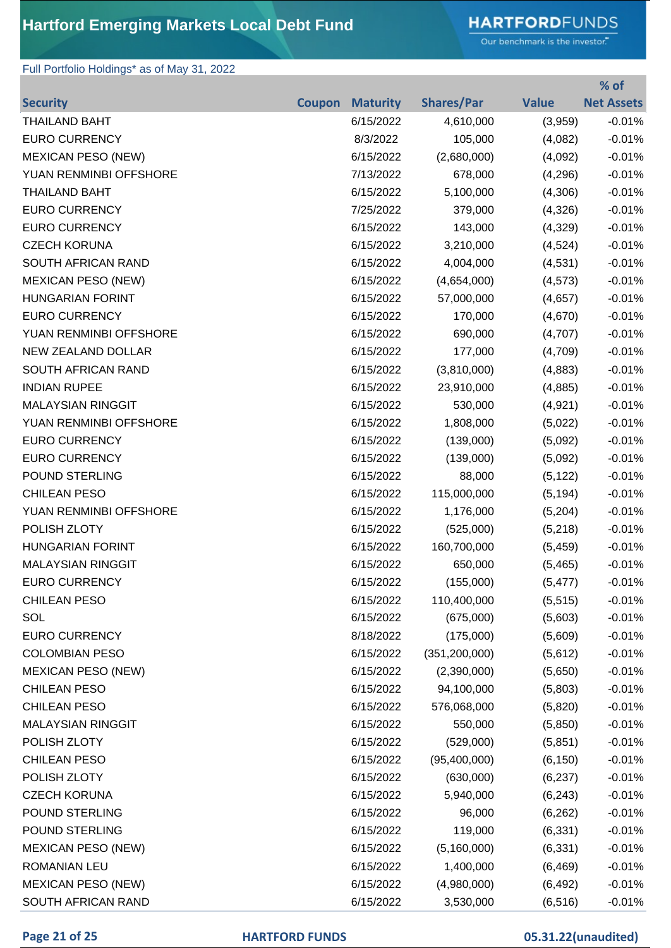# **HARTFORD**FUNDS

Our benchmark is the investor."

### Full Portfolio Holdings\* as of May 31, 2022

|                           |               |                 |                   |              | % of              |
|---------------------------|---------------|-----------------|-------------------|--------------|-------------------|
| <b>Security</b>           | <b>Coupon</b> | <b>Maturity</b> | <b>Shares/Par</b> | <b>Value</b> | <b>Net Assets</b> |
| <b>THAILAND BAHT</b>      |               | 6/15/2022       | 4,610,000         | (3,959)      | $-0.01%$          |
| <b>EURO CURRENCY</b>      |               | 8/3/2022        | 105,000           | (4,082)      | $-0.01%$          |
| <b>MEXICAN PESO (NEW)</b> |               | 6/15/2022       | (2,680,000)       | (4,092)      | $-0.01%$          |
| YUAN RENMINBI OFFSHORE    |               | 7/13/2022       | 678,000           | (4,296)      | $-0.01%$          |
| <b>THAILAND BAHT</b>      |               | 6/15/2022       | 5,100,000         | (4,306)      | $-0.01%$          |
| <b>EURO CURRENCY</b>      |               | 7/25/2022       | 379,000           | (4,326)      | $-0.01%$          |
| <b>EURO CURRENCY</b>      |               | 6/15/2022       | 143,000           | (4,329)      | $-0.01%$          |
| <b>CZECH KORUNA</b>       |               | 6/15/2022       | 3,210,000         | (4,524)      | $-0.01%$          |
| SOUTH AFRICAN RAND        |               | 6/15/2022       | 4,004,000         | (4,531)      | $-0.01%$          |
| <b>MEXICAN PESO (NEW)</b> |               | 6/15/2022       | (4,654,000)       | (4, 573)     | $-0.01%$          |
| <b>HUNGARIAN FORINT</b>   |               | 6/15/2022       | 57,000,000        | (4,657)      | $-0.01%$          |
| <b>EURO CURRENCY</b>      |               | 6/15/2022       | 170,000           | (4,670)      | $-0.01%$          |
| YUAN RENMINBI OFFSHORE    |               | 6/15/2022       | 690,000           | (4,707)      | $-0.01%$          |
| NEW ZEALAND DOLLAR        |               | 6/15/2022       | 177,000           | (4,709)      | $-0.01%$          |
| <b>SOUTH AFRICAN RAND</b> |               | 6/15/2022       | (3,810,000)       | (4,883)      | $-0.01%$          |
| <b>INDIAN RUPEE</b>       |               | 6/15/2022       | 23,910,000        | (4,885)      | $-0.01%$          |
| <b>MALAYSIAN RINGGIT</b>  |               | 6/15/2022       | 530,000           | (4,921)      | $-0.01%$          |
| YUAN RENMINBI OFFSHORE    |               | 6/15/2022       | 1,808,000         | (5,022)      | $-0.01%$          |
| <b>EURO CURRENCY</b>      |               | 6/15/2022       | (139,000)         | (5,092)      | $-0.01%$          |
| <b>EURO CURRENCY</b>      |               | 6/15/2022       | (139,000)         | (5,092)      | $-0.01%$          |
| <b>POUND STERLING</b>     |               | 6/15/2022       | 88,000            | (5, 122)     | $-0.01%$          |
| <b>CHILEAN PESO</b>       |               | 6/15/2022       | 115,000,000       | (5, 194)     | $-0.01%$          |
| YUAN RENMINBI OFFSHORE    |               | 6/15/2022       | 1,176,000         | (5,204)      | $-0.01%$          |
| POLISH ZLOTY              |               | 6/15/2022       | (525,000)         | (5,218)      | $-0.01%$          |
| <b>HUNGARIAN FORINT</b>   |               | 6/15/2022       | 160,700,000       | (5, 459)     | $-0.01%$          |
| <b>MALAYSIAN RINGGIT</b>  |               | 6/15/2022       | 650,000           | (5,465)      | $-0.01%$          |
| <b>EURO CURRENCY</b>      |               | 6/15/2022       | (155,000)         | (5, 477)     | $-0.01%$          |
| <b>CHILEAN PESO</b>       |               | 6/15/2022       | 110,400,000       | (5, 515)     | $-0.01%$          |
| SOL                       |               | 6/15/2022       | (675,000)         | (5,603)      | $-0.01%$          |
| <b>EURO CURRENCY</b>      |               | 8/18/2022       | (175,000)         | (5,609)      | $-0.01%$          |
| <b>COLOMBIAN PESO</b>     |               | 6/15/2022       | (351, 200, 000)   | (5,612)      | $-0.01%$          |
| <b>MEXICAN PESO (NEW)</b> |               | 6/15/2022       | (2,390,000)       | (5,650)      | $-0.01%$          |
| CHILEAN PESO              |               | 6/15/2022       | 94,100,000        | (5,803)      | $-0.01%$          |
| <b>CHILEAN PESO</b>       |               | 6/15/2022       | 576,068,000       | (5,820)      | $-0.01%$          |
| <b>MALAYSIAN RINGGIT</b>  |               | 6/15/2022       | 550,000           | (5,850)      | $-0.01%$          |
| POLISH ZLOTY              |               | 6/15/2022       | (529,000)         | (5,851)      | $-0.01%$          |
| <b>CHILEAN PESO</b>       |               | 6/15/2022       | (95,400,000)      | (6, 150)     | $-0.01%$          |
| POLISH ZLOTY              |               | 6/15/2022       | (630,000)         | (6, 237)     | $-0.01%$          |
| <b>CZECH KORUNA</b>       |               | 6/15/2022       | 5,940,000         | (6, 243)     | $-0.01%$          |
| POUND STERLING            |               | 6/15/2022       | 96,000            | (6, 262)     | $-0.01%$          |
| POUND STERLING            |               | 6/15/2022       | 119,000           | (6, 331)     | $-0.01%$          |
| <b>MEXICAN PESO (NEW)</b> |               | 6/15/2022       | (5,160,000)       | (6, 331)     | $-0.01%$          |
| <b>ROMANIAN LEU</b>       |               | 6/15/2022       | 1,400,000         | (6, 469)     | $-0.01%$          |
| <b>MEXICAN PESO (NEW)</b> |               | 6/15/2022       | (4,980,000)       | (6, 492)     | $-0.01%$          |
| SOUTH AFRICAN RAND        |               | 6/15/2022       | 3,530,000         | (6, 516)     | $-0.01%$          |

### **Page 21 of 25 HARTFORD FUNDS 05.31.22(unaudited)**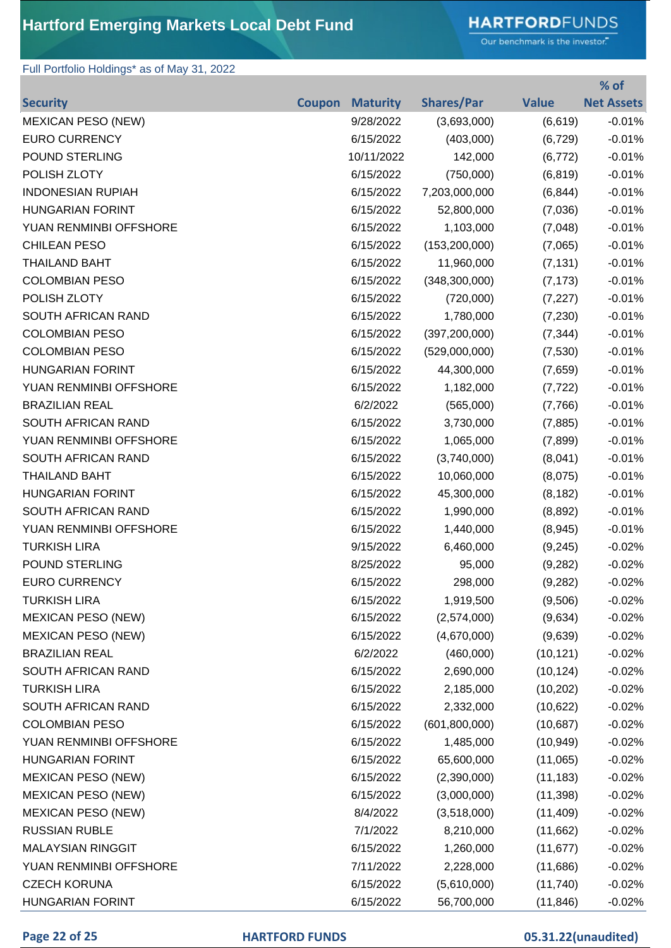# **HARTFORD**FUNDS

Our benchmark is the investor."

### Full Portfolio Holdings\* as of May 31, 2022

|                           |               |                 |                   |              | % of              |
|---------------------------|---------------|-----------------|-------------------|--------------|-------------------|
| <b>Security</b>           | <b>Coupon</b> | <b>Maturity</b> | <b>Shares/Par</b> | <b>Value</b> | <b>Net Assets</b> |
| <b>MEXICAN PESO (NEW)</b> |               | 9/28/2022       | (3,693,000)       | (6,619)      | $-0.01%$          |
| <b>EURO CURRENCY</b>      |               | 6/15/2022       | (403,000)         | (6, 729)     | $-0.01%$          |
| <b>POUND STERLING</b>     |               | 10/11/2022      | 142,000           | (6, 772)     | $-0.01%$          |
| POLISH ZLOTY              |               | 6/15/2022       | (750,000)         | (6, 819)     | $-0.01%$          |
| <b>INDONESIAN RUPIAH</b>  |               | 6/15/2022       | 7,203,000,000     | (6, 844)     | $-0.01%$          |
| <b>HUNGARIAN FORINT</b>   |               | 6/15/2022       | 52,800,000        | (7,036)      | $-0.01%$          |
| YUAN RENMINBI OFFSHORE    |               | 6/15/2022       | 1,103,000         | (7,048)      | $-0.01%$          |
| <b>CHILEAN PESO</b>       |               | 6/15/2022       | (153, 200, 000)   | (7,065)      | $-0.01%$          |
| <b>THAILAND BAHT</b>      |               | 6/15/2022       | 11,960,000        | (7, 131)     | $-0.01%$          |
| <b>COLOMBIAN PESO</b>     |               | 6/15/2022       | (348, 300, 000)   | (7, 173)     | $-0.01%$          |
| POLISH ZLOTY              |               | 6/15/2022       | (720,000)         | (7, 227)     | $-0.01%$          |
| SOUTH AFRICAN RAND        |               | 6/15/2022       | 1,780,000         | (7,230)      | $-0.01%$          |
| <b>COLOMBIAN PESO</b>     |               | 6/15/2022       | (397, 200, 000)   | (7, 344)     | $-0.01%$          |
| <b>COLOMBIAN PESO</b>     |               | 6/15/2022       | (529,000,000)     | (7,530)      | $-0.01%$          |
| <b>HUNGARIAN FORINT</b>   |               | 6/15/2022       | 44,300,000        | (7,659)      | $-0.01%$          |
| YUAN RENMINBI OFFSHORE    |               | 6/15/2022       | 1,182,000         | (7, 722)     | $-0.01%$          |
| <b>BRAZILIAN REAL</b>     |               | 6/2/2022        | (565,000)         | (7,766)      | $-0.01%$          |
| SOUTH AFRICAN RAND        |               | 6/15/2022       | 3,730,000         | (7,885)      | $-0.01%$          |
| YUAN RENMINBI OFFSHORE    |               | 6/15/2022       | 1,065,000         | (7,899)      | $-0.01%$          |
| SOUTH AFRICAN RAND        |               | 6/15/2022       | (3,740,000)       | (8,041)      | $-0.01%$          |
| <b>THAILAND BAHT</b>      |               | 6/15/2022       | 10,060,000        | (8,075)      | $-0.01%$          |
| <b>HUNGARIAN FORINT</b>   |               | 6/15/2022       | 45,300,000        | (8, 182)     | $-0.01%$          |
| SOUTH AFRICAN RAND        |               | 6/15/2022       | 1,990,000         | (8,892)      | $-0.01%$          |
| YUAN RENMINBI OFFSHORE    |               | 6/15/2022       | 1,440,000         | (8,945)      | $-0.01%$          |
| <b>TURKISH LIRA</b>       |               | 9/15/2022       | 6,460,000         | (9,245)      | $-0.02%$          |
| <b>POUND STERLING</b>     |               | 8/25/2022       | 95,000            | (9,282)      | $-0.02%$          |
| <b>EURO CURRENCY</b>      |               | 6/15/2022       | 298,000           | (9, 282)     | $-0.02%$          |
| <b>TURKISH LIRA</b>       |               | 6/15/2022       | 1,919,500         | (9,506)      | $-0.02%$          |
| <b>MEXICAN PESO (NEW)</b> |               | 6/15/2022       | (2,574,000)       | (9,634)      | $-0.02%$          |
| <b>MEXICAN PESO (NEW)</b> |               | 6/15/2022       | (4,670,000)       | (9,639)      | $-0.02%$          |
| <b>BRAZILIAN REAL</b>     |               | 6/2/2022        | (460,000)         | (10, 121)    | $-0.02%$          |
| SOUTH AFRICAN RAND        |               | 6/15/2022       | 2,690,000         | (10, 124)    | $-0.02%$          |
| <b>TURKISH LIRA</b>       |               | 6/15/2022       | 2,185,000         | (10, 202)    | $-0.02%$          |
| SOUTH AFRICAN RAND        |               | 6/15/2022       | 2,332,000         | (10, 622)    | $-0.02%$          |
| <b>COLOMBIAN PESO</b>     |               | 6/15/2022       | (601, 800, 000)   | (10,687)     | $-0.02%$          |
| YUAN RENMINBI OFFSHORE    |               | 6/15/2022       | 1,485,000         | (10, 949)    | $-0.02%$          |
| <b>HUNGARIAN FORINT</b>   |               | 6/15/2022       | 65,600,000        | (11,065)     | $-0.02%$          |
| <b>MEXICAN PESO (NEW)</b> |               | 6/15/2022       | (2,390,000)       | (11, 183)    | $-0.02%$          |
| <b>MEXICAN PESO (NEW)</b> |               | 6/15/2022       | (3,000,000)       | (11, 398)    | $-0.02%$          |
| <b>MEXICAN PESO (NEW)</b> |               | 8/4/2022        | (3,518,000)       | (11, 409)    | $-0.02%$          |
| <b>RUSSIAN RUBLE</b>      |               | 7/1/2022        | 8,210,000         | (11,662)     | $-0.02%$          |
| <b>MALAYSIAN RINGGIT</b>  |               | 6/15/2022       | 1,260,000         | (11, 677)    | $-0.02%$          |
| YUAN RENMINBI OFFSHORE    |               | 7/11/2022       | 2,228,000         | (11,686)     | $-0.02%$          |
| <b>CZECH KORUNA</b>       |               | 6/15/2022       | (5,610,000)       | (11, 740)    | $-0.02%$          |
| <b>HUNGARIAN FORINT</b>   |               | 6/15/2022       | 56,700,000        | (11, 846)    | $-0.02%$          |

### **Page 22 of 25 HARTFORD FUNDS 05.31.22(unaudited)**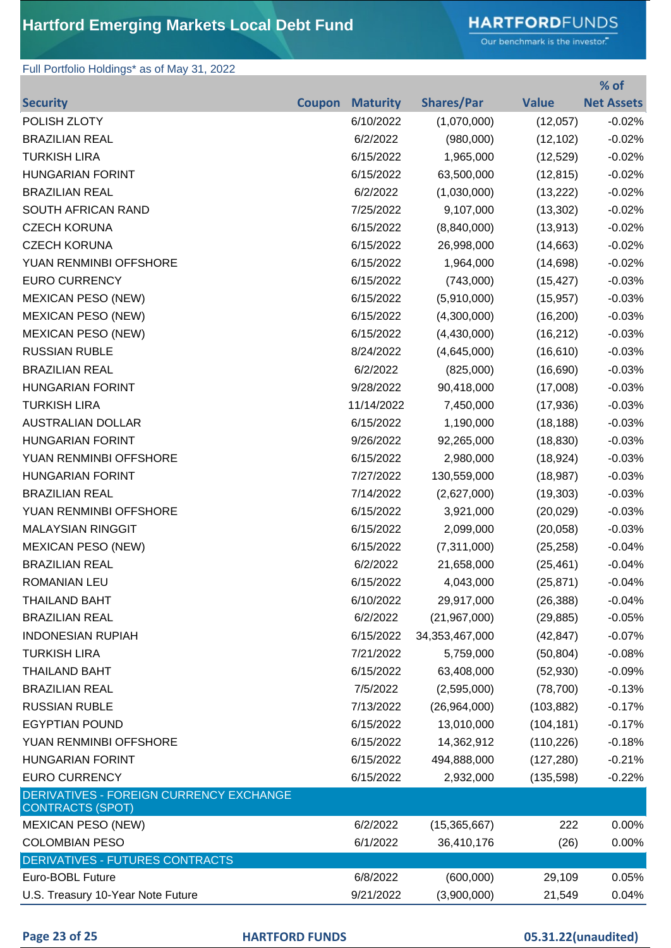### **HARTFORD**FUNDS

Our benchmark is the investor."

### Full Portfolio Holdings\* as of May 31, 2022

|                                                                    |               |                 |                   |              | % of              |
|--------------------------------------------------------------------|---------------|-----------------|-------------------|--------------|-------------------|
| <b>Security</b>                                                    | <b>Coupon</b> | <b>Maturity</b> | <b>Shares/Par</b> | <b>Value</b> | <b>Net Assets</b> |
| POLISH ZLOTY                                                       |               | 6/10/2022       | (1,070,000)       | (12,057)     | $-0.02%$          |
| <b>BRAZILIAN REAL</b>                                              |               | 6/2/2022        | (980,000)         | (12, 102)    | $-0.02%$          |
| <b>TURKISH LIRA</b>                                                |               | 6/15/2022       | 1,965,000         | (12, 529)    | $-0.02%$          |
| <b>HUNGARIAN FORINT</b>                                            |               | 6/15/2022       | 63,500,000        | (12, 815)    | $-0.02%$          |
| <b>BRAZILIAN REAL</b>                                              |               | 6/2/2022        | (1,030,000)       | (13, 222)    | $-0.02%$          |
| SOUTH AFRICAN RAND                                                 |               | 7/25/2022       | 9,107,000         | (13, 302)    | $-0.02%$          |
| <b>CZECH KORUNA</b>                                                |               | 6/15/2022       | (8,840,000)       | (13, 913)    | $-0.02%$          |
| <b>CZECH KORUNA</b>                                                |               | 6/15/2022       | 26,998,000        | (14, 663)    | $-0.02%$          |
| YUAN RENMINBI OFFSHORE                                             |               | 6/15/2022       | 1,964,000         | (14, 698)    | $-0.02%$          |
| <b>EURO CURRENCY</b>                                               |               | 6/15/2022       | (743,000)         | (15, 427)    | $-0.03%$          |
| <b>MEXICAN PESO (NEW)</b>                                          |               | 6/15/2022       | (5,910,000)       | (15, 957)    | $-0.03%$          |
| <b>MEXICAN PESO (NEW)</b>                                          |               | 6/15/2022       | (4,300,000)       | (16, 200)    | $-0.03%$          |
| <b>MEXICAN PESO (NEW)</b>                                          |               | 6/15/2022       | (4,430,000)       | (16, 212)    | $-0.03%$          |
| <b>RUSSIAN RUBLE</b>                                               |               | 8/24/2022       | (4,645,000)       | (16, 610)    | $-0.03%$          |
| <b>BRAZILIAN REAL</b>                                              |               | 6/2/2022        | (825,000)         | (16, 690)    | $-0.03%$          |
| <b>HUNGARIAN FORINT</b>                                            |               | 9/28/2022       | 90,418,000        | (17,008)     | $-0.03%$          |
| <b>TURKISH LIRA</b>                                                |               | 11/14/2022      | 7,450,000         | (17, 936)    | $-0.03%$          |
| <b>AUSTRALIAN DOLLAR</b>                                           |               | 6/15/2022       | 1,190,000         | (18, 188)    | $-0.03%$          |
| <b>HUNGARIAN FORINT</b>                                            |               | 9/26/2022       | 92,265,000        | (18, 830)    | $-0.03%$          |
| YUAN RENMINBI OFFSHORE                                             |               | 6/15/2022       | 2,980,000         | (18, 924)    | $-0.03%$          |
| <b>HUNGARIAN FORINT</b>                                            |               | 7/27/2022       | 130,559,000       | (18, 987)    | $-0.03%$          |
| <b>BRAZILIAN REAL</b>                                              |               | 7/14/2022       | (2,627,000)       | (19, 303)    | $-0.03%$          |
| YUAN RENMINBI OFFSHORE                                             |               | 6/15/2022       | 3,921,000         | (20, 029)    | $-0.03%$          |
| <b>MALAYSIAN RINGGIT</b>                                           |               | 6/15/2022       | 2,099,000         | (20, 058)    | $-0.03%$          |
| <b>MEXICAN PESO (NEW)</b>                                          |               | 6/15/2022       | (7,311,000)       | (25, 258)    | $-0.04%$          |
| <b>BRAZILIAN REAL</b>                                              |               | 6/2/2022        | 21,658,000        | (25, 461)    | $-0.04%$          |
| ROMANIAN LEU                                                       |               | 6/15/2022       | 4,043,000         | (25, 871)    | $-0.04%$          |
| <b>THAILAND BAHT</b>                                               |               | 6/10/2022       | 29,917,000        | (26, 388)    | $-0.04%$          |
| <b>BRAZILIAN REAL</b>                                              |               | 6/2/2022        | (21, 967, 000)    | (29, 885)    | $-0.05%$          |
| <b>INDONESIAN RUPIAH</b>                                           |               | 6/15/2022       | 34, 353, 467, 000 | (42, 847)    | $-0.07%$          |
| <b>TURKISH LIRA</b>                                                |               | 7/21/2022       | 5,759,000         | (50, 804)    | $-0.08%$          |
| <b>THAILAND BAHT</b>                                               |               | 6/15/2022       | 63,408,000        | (52, 930)    | $-0.09%$          |
| <b>BRAZILIAN REAL</b>                                              |               | 7/5/2022        | (2,595,000)       | (78, 700)    | $-0.13%$          |
| <b>RUSSIAN RUBLE</b>                                               |               | 7/13/2022       | (26,964,000)      | (103, 882)   | $-0.17%$          |
| <b>EGYPTIAN POUND</b>                                              |               | 6/15/2022       | 13,010,000        | (104, 181)   | $-0.17%$          |
| YUAN RENMINBI OFFSHORE                                             |               | 6/15/2022       | 14,362,912        | (110, 226)   | $-0.18%$          |
| <b>HUNGARIAN FORINT</b>                                            |               | 6/15/2022       | 494,888,000       | (127, 280)   | $-0.21%$          |
| <b>EURO CURRENCY</b>                                               |               | 6/15/2022       | 2,932,000         | (135, 598)   | $-0.22%$          |
| DERIVATIVES - FOREIGN CURRENCY EXCHANGE<br><b>CONTRACTS (SPOT)</b> |               |                 |                   |              |                   |
| <b>MEXICAN PESO (NEW)</b>                                          |               | 6/2/2022        | (15, 365, 667)    | 222          | 0.00%             |
| <b>COLOMBIAN PESO</b>                                              |               | 6/1/2022        | 36,410,176        | (26)         | 0.00%             |
| <b>DERIVATIVES - FUTURES CONTRACTS</b>                             |               |                 |                   |              |                   |
| Euro-BOBL Future                                                   |               | 6/8/2022        | (600,000)         | 29,109       | 0.05%             |
| U.S. Treasury 10-Year Note Future                                  |               | 9/21/2022       | (3,900,000)       | 21,549       | 0.04%             |

### **Page 23 of 25 HARTFORD FUNDS 05.31.22(unaudited)**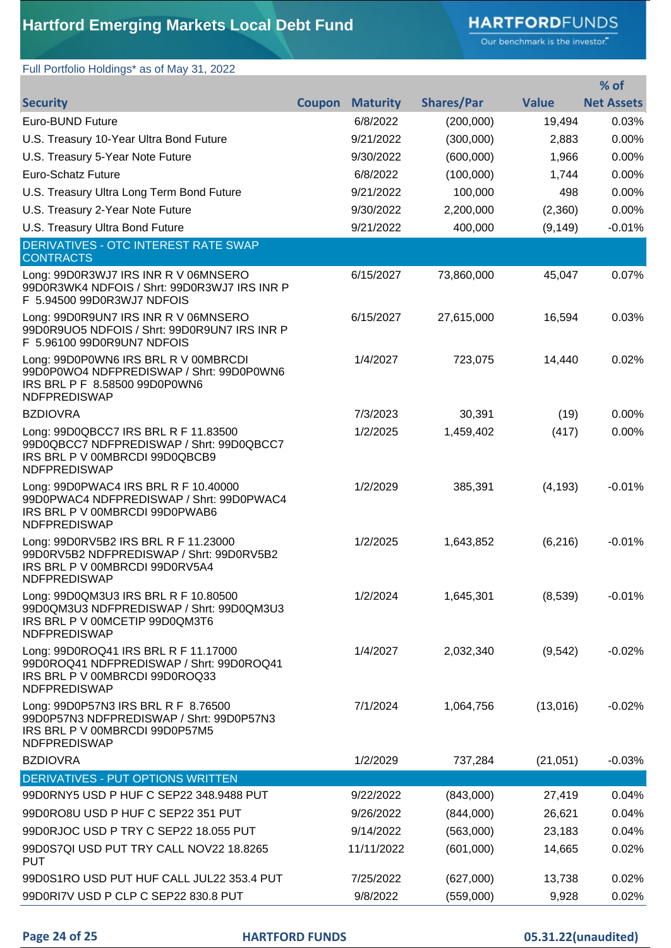# **HARTFORD**FUNDS

Our benchmark is the investor."

Full Portfolio Holdings\* as of May 31, 2022

|                                                                                                                                           |               |                 |                   |              | % of              |
|-------------------------------------------------------------------------------------------------------------------------------------------|---------------|-----------------|-------------------|--------------|-------------------|
| <b>Security</b>                                                                                                                           | <b>Coupon</b> | <b>Maturity</b> | <b>Shares/Par</b> | <b>Value</b> | <b>Net Assets</b> |
| <b>Euro-BUND Future</b>                                                                                                                   |               | 6/8/2022        | (200,000)         | 19,494       | 0.03%             |
| U.S. Treasury 10-Year Ultra Bond Future                                                                                                   |               | 9/21/2022       | (300,000)         | 2,883        | 0.00%             |
| U.S. Treasury 5-Year Note Future                                                                                                          |               | 9/30/2022       | (600,000)         | 1,966        | 0.00%             |
| Euro-Schatz Future                                                                                                                        |               | 6/8/2022        | (100,000)         | 1,744        | 0.00%             |
| U.S. Treasury Ultra Long Term Bond Future                                                                                                 |               | 9/21/2022       | 100,000           | 498          | 0.00%             |
| U.S. Treasury 2-Year Note Future                                                                                                          |               | 9/30/2022       | 2,200,000         | (2,360)      | 0.00%             |
| U.S. Treasury Ultra Bond Future                                                                                                           |               | 9/21/2022       | 400,000           | (9, 149)     | $-0.01%$          |
| <b>DERIVATIVES - OTC INTEREST RATE SWAP</b><br><b>CONTRACTS</b>                                                                           |               |                 |                   |              |                   |
| Long: 99D0R3WJ7 IRS INR R V 06MNSERO<br>99D0R3WK4 NDFOIS / Shrt: 99D0R3WJ7 IRS INR P<br>F 5.94500 99D0R3WJ7 NDFOIS                        |               | 6/15/2027       | 73,860,000        | 45,047       | 0.07%             |
| Long: 99D0R9UN7 IRS INR R V 06MNSERO<br>99D0R9UO5 NDFOIS / Shrt: 99D0R9UN7 IRS INR P<br>F 5.96100 99D0R9UN7 NDFOIS                        |               | 6/15/2027       | 27,615,000        | 16,594       | 0.03%             |
| Long: 99D0P0WN6 IRS BRL R V 00MBRCDI<br>99D0P0WO4 NDFPREDISWAP / Shrt: 99D0P0WN6<br>IRS BRL P F 8.58500 99D0P0WN6<br><b>NDFPREDISWAP</b>  |               | 1/4/2027        | 723,075           | 14,440       | 0.02%             |
| <b>BZDIOVRA</b>                                                                                                                           |               | 7/3/2023        | 30,391            | (19)         | 0.00%             |
| Long: 99D0QBCC7 IRS BRL R F 11.83500<br>99D0QBCC7 NDFPREDISWAP / Shrt: 99D0QBCC7<br>IRS BRL P V 00MBRCDI 99D0QBCB9<br><b>NDFPREDISWAP</b> |               | 1/2/2025        | 1,459,402         | (417)        | 0.00%             |
| Long: 99D0PWAC4 IRS BRL R F 10.40000<br>99D0PWAC4 NDFPREDISWAP / Shrt: 99D0PWAC4<br>IRS BRL P V 00MBRCDI 99D0PWAB6<br>NDFPREDISWAP        |               | 1/2/2029        | 385,391           | (4, 193)     | $-0.01%$          |
| Long: 99D0RV5B2 IRS BRL R F 11.23000<br>99D0RV5B2 NDFPREDISWAP / Shrt: 99D0RV5B2<br>IRS BRL P V 00MBRCDI 99D0RV5A4<br><b>NDFPREDISWAP</b> |               | 1/2/2025        | 1,643,852         | (6, 216)     | $-0.01%$          |
| Long: 99D0QM3U3 IRS BRL R F 10.80500<br>99D0QM3U3 NDFPREDISWAP / Shrt: 99D0QM3U3<br>IRS BRL P V 00MCETIP 99D0QM3T6<br><b>NDFPREDISWAP</b> |               | 1/2/2024        | 1,645,301         | (8,539)      | $-0.01%$          |
| Long: 99D0ROQ41 IRS BRL R F 11.17000<br>99D0ROQ41 NDFPREDISWAP / Shrt: 99D0ROQ41<br>IRS BRL P V 00MBRCDI 99D0ROQ33<br><b>NDFPREDISWAP</b> |               | 1/4/2027        | 2,032,340         | (9, 542)     | $-0.02%$          |
| Long: 99D0P57N3 IRS BRL R F 8.76500<br>99D0P57N3 NDFPREDISWAP / Shrt: 99D0P57N3<br>IRS BRL P V 00MBRCDI 99D0P57M5<br>NDFPREDISWAP         |               | 7/1/2024        | 1,064,756         | (13,016)     | $-0.02%$          |
| <b>BZDIOVRA</b>                                                                                                                           |               | 1/2/2029        | 737,284           | (21, 051)    | $-0.03%$          |
| <b>DERIVATIVES - PUT OPTIONS WRITTEN</b>                                                                                                  |               |                 |                   |              |                   |
| 99D0RNY5 USD P HUF C SEP22 348.9488 PUT                                                                                                   |               | 9/22/2022       | (843,000)         | 27,419       | 0.04%             |
| 99D0RO8U USD P HUF C SEP22 351 PUT                                                                                                        |               | 9/26/2022       | (844,000)         | 26,621       | 0.04%             |
| 99D0RJOC USD P TRY C SEP22 18.055 PUT                                                                                                     |               | 9/14/2022       | (563,000)         | 23,183       | 0.04%             |
| 99D0S7QI USD PUT TRY CALL NOV22 18.8265<br><b>PUT</b>                                                                                     |               | 11/11/2022      | (601,000)         | 14,665       | 0.02%             |
| 99D0S1RO USD PUT HUF CALL JUL22 353.4 PUT                                                                                                 |               | 7/25/2022       | (627,000)         | 13,738       | 0.02%             |
| 99D0RI7V USD P CLP C SEP22 830.8 PUT                                                                                                      |               | 9/8/2022        | (559,000)         | 9,928        | 0.02%             |

**Page 24 of 25 HARTFORD FUNDS 05.31.22(unaudited)**